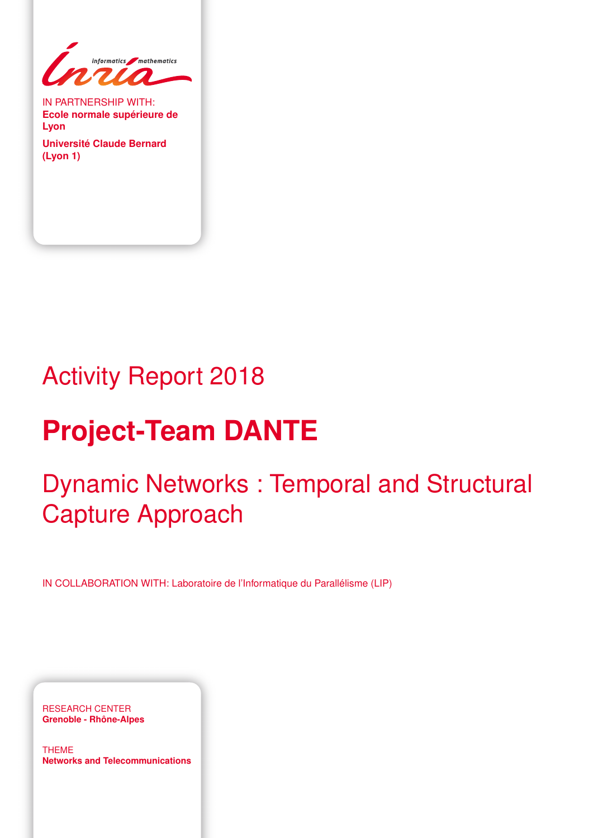

IN PARTNERSHIP WITH: **Ecole normale supérieure de Lyon**

**Université Claude Bernard (Lyon 1)**

# Activity Report 2018

# **Project-Team DANTE**

# Dynamic Networks : Temporal and Structural Capture Approach

IN COLLABORATION WITH: Laboratoire de l'Informatique du Parallélisme (LIP)

RESEARCH CENTER **Grenoble - Rhône-Alpes**

THEME **Networks and Telecommunications**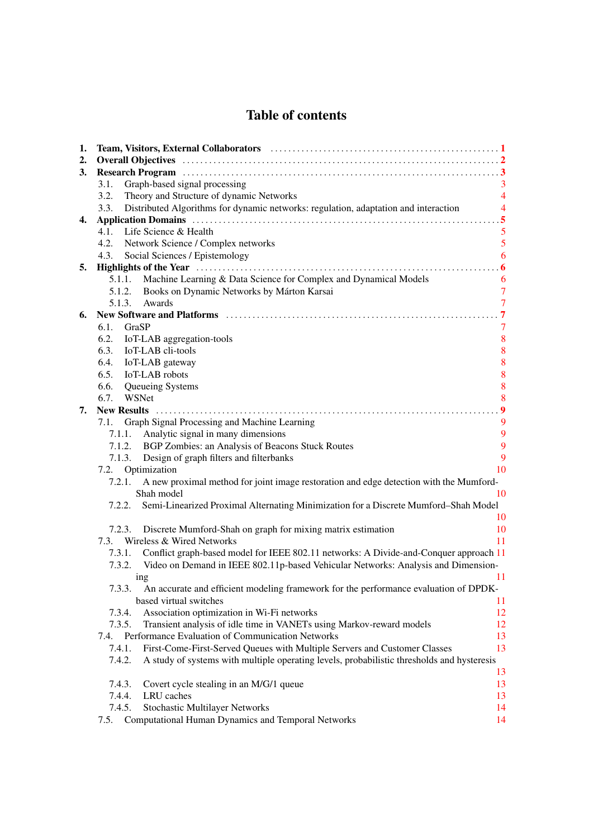# Table of contents

| 1. | Team, Visitors, External Collaborators (and the context of the context of the context of the context of the context of the context of the context of the context of the context of the context of the context of the context o |                  |  |  |
|----|--------------------------------------------------------------------------------------------------------------------------------------------------------------------------------------------------------------------------------|------------------|--|--|
| 2. |                                                                                                                                                                                                                                |                  |  |  |
| 3. |                                                                                                                                                                                                                                |                  |  |  |
|    | Graph-based signal processing<br>3.1.                                                                                                                                                                                          | 3                |  |  |
|    | 3.2.<br>Theory and Structure of dynamic Networks                                                                                                                                                                               | $\overline{4}$   |  |  |
|    | Distributed Algorithms for dynamic networks: regulation, adaptation and interaction<br>3.3.                                                                                                                                    | $\overline{4}$   |  |  |
| 4. | 5                                                                                                                                                                                                                              |                  |  |  |
|    | 4.1.<br>Life Science & Health                                                                                                                                                                                                  | 5                |  |  |
|    | 4.2. Network Science / Complex networks                                                                                                                                                                                        | 5                |  |  |
|    | 4.3. Social Sciences / Epistemology                                                                                                                                                                                            | 6                |  |  |
| 5. |                                                                                                                                                                                                                                |                  |  |  |
|    | Machine Learning & Data Science for Complex and Dynamical Models<br>5.1.1.                                                                                                                                                     | 6                |  |  |
|    | 5.1.2. Books on Dynamic Networks by Márton Karsai                                                                                                                                                                              | $\overline{7}$   |  |  |
|    | Awards<br>5.1.3.                                                                                                                                                                                                               | $\overline{7}$   |  |  |
| 6. |                                                                                                                                                                                                                                | $\overline{7}$   |  |  |
|    | 6.1.<br>GraSP                                                                                                                                                                                                                  | 7                |  |  |
|    | 6.2.<br>IoT-LAB aggregation-tools                                                                                                                                                                                              | 8                |  |  |
|    | IoT-LAB cli-tools<br>6.3.                                                                                                                                                                                                      | 8                |  |  |
|    | 6.4.<br>IoT-LAB gateway                                                                                                                                                                                                        | 8                |  |  |
|    | IoT-LAB robots<br>6.5.                                                                                                                                                                                                         | 8                |  |  |
|    | 6.6.<br>Queueing Systems                                                                                                                                                                                                       | 8                |  |  |
|    | 6.7. WSNet                                                                                                                                                                                                                     | 8                |  |  |
| 7. |                                                                                                                                                                                                                                | $\boldsymbol{9}$ |  |  |
|    | Graph Signal Processing and Machine Learning<br>7.1.                                                                                                                                                                           | 9                |  |  |
|    | Analytic signal in many dimensions<br>7.1.1.                                                                                                                                                                                   | 9                |  |  |
|    | 7.1.2. BGP Zombies: an Analysis of Beacons Stuck Routes                                                                                                                                                                        | 9                |  |  |
|    | 7.1.3. Design of graph filters and filterbanks                                                                                                                                                                                 | 9                |  |  |
|    | 7.2. Optimization                                                                                                                                                                                                              | 10               |  |  |
|    | A new proximal method for joint image restoration and edge detection with the Mumford-<br>7.2.1.                                                                                                                               |                  |  |  |
|    | Shah model                                                                                                                                                                                                                     | 10               |  |  |
|    | 7.2.2. Semi-Linearized Proximal Alternating Minimization for a Discrete Mumford–Shah Model                                                                                                                                     |                  |  |  |
|    |                                                                                                                                                                                                                                | 10               |  |  |
|    | 7.2.3. Discrete Mumford-Shah on graph for mixing matrix estimation                                                                                                                                                             | 10               |  |  |
|    | 7.3. Wireless & Wired Networks                                                                                                                                                                                                 | 11               |  |  |
|    | Conflict graph-based model for IEEE 802.11 networks: A Divide-and-Conquer approach 11<br>7.3.1.                                                                                                                                |                  |  |  |
|    | 7.3.2. Video on Demand in IEEE 802.11p-based Vehicular Networks: Analysis and Dimension-                                                                                                                                       |                  |  |  |
|    | ing                                                                                                                                                                                                                            | 11               |  |  |
|    | An accurate and efficient modeling framework for the performance evaluation of DPDK-<br>7.3.3.                                                                                                                                 |                  |  |  |
|    | based virtual switches                                                                                                                                                                                                         | 11               |  |  |
|    | Association optimization in Wi-Fi networks<br>7.3.4.                                                                                                                                                                           | 12               |  |  |
|    | Transient analysis of idle time in VANETs using Markov-reward models<br>7.3.5.                                                                                                                                                 | 12               |  |  |
|    | Performance Evaluation of Communication Networks<br>7.4.                                                                                                                                                                       | 13               |  |  |
|    | 7.4.1.<br>First-Come-First-Served Queues with Multiple Servers and Customer Classes                                                                                                                                            | 13               |  |  |
|    | A study of systems with multiple operating levels, probabilistic thresholds and hysteresis<br>7.4.2.                                                                                                                           |                  |  |  |
|    |                                                                                                                                                                                                                                | 13               |  |  |
|    | 7.4.3.<br>Covert cycle stealing in an M/G/1 queue                                                                                                                                                                              | 13               |  |  |
|    | 7.4.4.<br>LRU caches                                                                                                                                                                                                           | 13               |  |  |
|    | 7.4.5.<br>Stochastic Multilayer Networks                                                                                                                                                                                       | 14               |  |  |
|    | Computational Human Dynamics and Temporal Networks<br>7.5.                                                                                                                                                                     | 14               |  |  |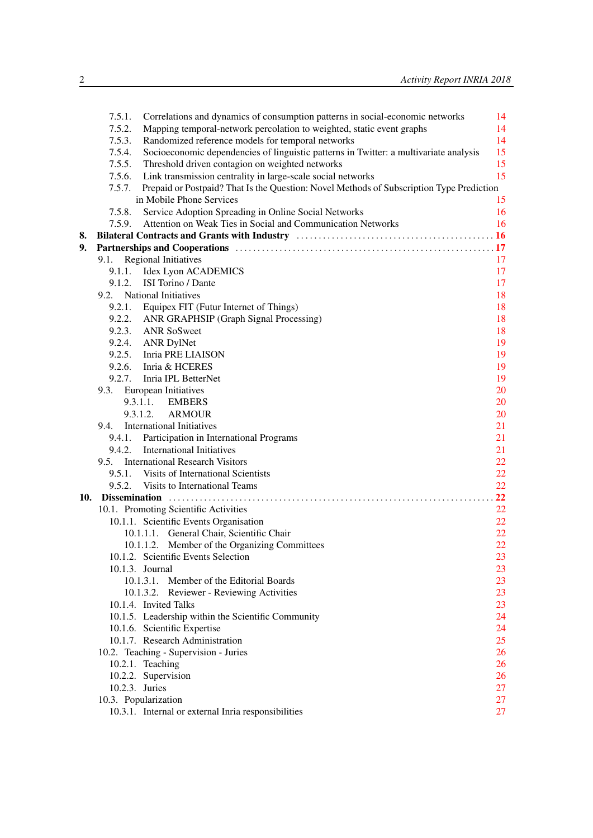|     | Correlations and dynamics of consumption patterns in social-economic networks<br>7.5.1.            | 14 |
|-----|----------------------------------------------------------------------------------------------------|----|
|     | 7.5.2.<br>Mapping temporal-network percolation to weighted, static event graphs                    | 14 |
|     | Randomized reference models for temporal networks<br>7.5.3.                                        | 14 |
|     | Socioeconomic dependencies of linguistic patterns in Twitter: a multivariate analysis<br>7.5.4.    | 15 |
|     | Threshold driven contagion on weighted networks<br>7.5.5.                                          | 15 |
|     | Link transmission centrality in large-scale social networks<br>7.5.6.                              | 15 |
|     | Prepaid or Postpaid? That Is the Question: Novel Methods of Subscription Type Prediction<br>7.5.7. |    |
|     | in Mobile Phone Services                                                                           | 15 |
|     | 7.5.8.<br>Service Adoption Spreading in Online Social Networks                                     | 16 |
|     | Attention on Weak Ties in Social and Communication Networks<br>7.5.9.                              | 16 |
| 8.  |                                                                                                    |    |
| 9.  |                                                                                                    |    |
|     | 9.1. Regional Initiatives                                                                          | 17 |
|     | 9.1.1. Idex Lyon ACADEMICS                                                                         | 17 |
|     | ISI Torino / Dante<br>9.1.2.                                                                       | 17 |
|     | 9.2. National Initiatives                                                                          | 18 |
|     | 9.2.1. Equipex FIT (Futur Internet of Things)                                                      | 18 |
|     | 9.2.2. ANR GRAPHSIP (Graph Signal Processing)                                                      | 18 |
|     | 9.2.3. ANR SoSweet                                                                                 | 18 |
|     | 9.2.4. ANR DylNet                                                                                  | 19 |
|     | 9.2.5. Inria PRE LIAISON                                                                           | 19 |
|     | 9.2.6. Inria & HCERES                                                                              | 19 |
|     | 9.2.7. Inria IPL BetterNet                                                                         | 19 |
|     | 9.3. European Initiatives                                                                          | 20 |
|     | 9.3.1.1.<br><b>EMBERS</b>                                                                          | 20 |
|     | 9.3.1.2.<br><b>ARMOUR</b>                                                                          | 20 |
|     | <b>International Initiatives</b><br>9.4.                                                           | 21 |
|     | Participation in International Programs<br>9.4.1.                                                  | 21 |
|     | <b>International Initiatives</b><br>9.4.2.                                                         | 21 |
|     | 9.5. International Research Visitors                                                               | 22 |
|     | 9.5.1. Visits of International Scientists                                                          | 22 |
|     | 9.5.2. Visits to International Teams                                                               | 22 |
| 10. |                                                                                                    | 22 |
|     | 10.1. Promoting Scientific Activities                                                              | 22 |
|     | 10.1.1. Scientific Events Organisation                                                             | 22 |
|     | 10.1.1.1. General Chair, Scientific Chair                                                          | 22 |
|     | 10.1.1.2. Member of the Organizing Committees                                                      | 22 |
|     | 10.1.2. Scientific Events Selection                                                                | 23 |
|     | 10.1.3. Journal                                                                                    | 23 |
|     | 10.1.3.1. Member of the Editorial Boards                                                           | 23 |
|     | 10.1.3.2. Reviewer - Reviewing Activities                                                          | 23 |
|     | 10.1.4. Invited Talks                                                                              | 23 |
|     | 10.1.5. Leadership within the Scientific Community                                                 | 24 |
|     | 10.1.6. Scientific Expertise                                                                       | 24 |
|     | 10.1.7. Research Administration                                                                    | 25 |
|     | 10.2. Teaching - Supervision - Juries                                                              | 26 |
|     | 10.2.1. Teaching                                                                                   | 26 |
|     | 10.2.2. Supervision                                                                                | 26 |
|     | 10.2.3. Juries                                                                                     | 27 |
|     | 10.3. Popularization                                                                               | 27 |
|     | 10.3.1. Internal or external Inria responsibilities                                                | 27 |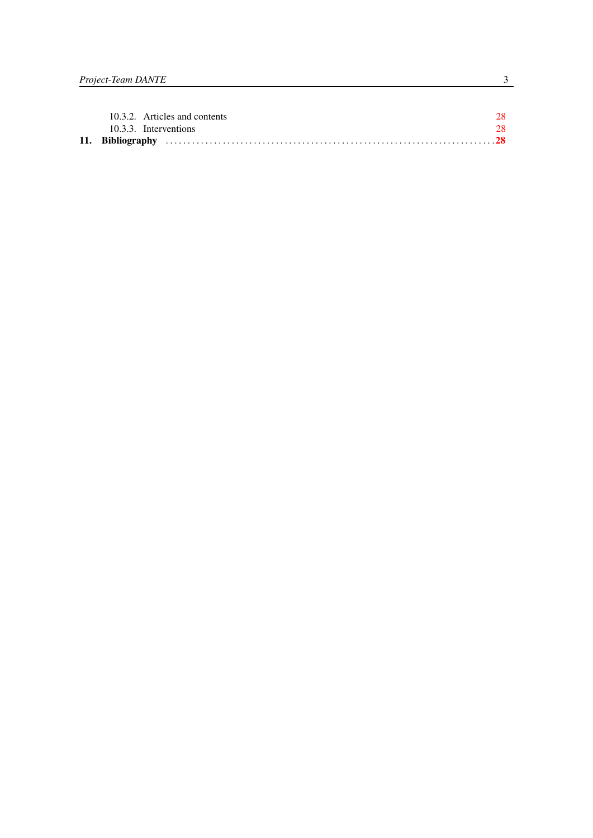| 10.3.3. Interventions |                               | 28 |
|-----------------------|-------------------------------|----|
|                       | 10.3.2. Articles and contents | 28 |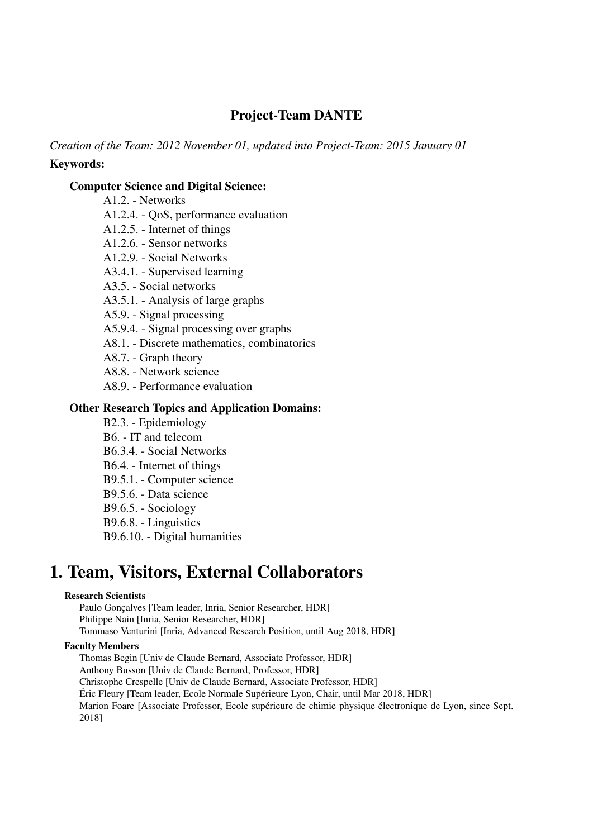# Project-Team DANTE

*Creation of the Team: 2012 November 01, updated into Project-Team: 2015 January 01* Keywords:

# [Computer Science and Digital Science:](https://raweb.inria.fr/rapportsactivite/RA2018/static/keywords/ComputerScienceandDigitalScience.html)

A1.2. - Networks A1.2.4. - QoS, performance evaluation A1.2.5. - Internet of things A1.2.6. - Sensor networks A1.2.9. - Social Networks A3.4.1. - Supervised learning A3.5. - Social networks A3.5.1. - Analysis of large graphs A5.9. - Signal processing A5.9.4. - Signal processing over graphs A8.1. - Discrete mathematics, combinatorics A8.7. - Graph theory A8.8. - Network science A8.9. - Performance evaluation B2.3. - Epidemiology

# [Other Research Topics and Application Domains:](https://raweb.inria.fr/rapportsactivite/RA2018/static/keywords/OtherResearchTopicsandApplicationDomains.html)

B6. - IT and telecom B6.3.4. - Social Networks B6.4. - Internet of things B9.5.1. - Computer science B9.5.6. - Data science B9.6.5. - Sociology

B9.6.8. - Linguistics

B9.6.10. - Digital humanities

# <span id="page-6-0"></span>1. Team, Visitors, External Collaborators

#### Research Scientists

Paulo Gonçalves [Team leader, Inria, Senior Researcher, HDR] Philippe Nain [Inria, Senior Researcher, HDR] Tommaso Venturini [Inria, Advanced Research Position, until Aug 2018, HDR]

#### Faculty Members

Thomas Begin [Univ de Claude Bernard, Associate Professor, HDR]

Anthony Busson [Univ de Claude Bernard, Professor, HDR]

Christophe Crespelle [Univ de Claude Bernard, Associate Professor, HDR]

Éric Fleury [Team leader, Ecole Normale Supérieure Lyon, Chair, until Mar 2018, HDR]

Marion Foare [Associate Professor, Ecole supérieure de chimie physique électronique de Lyon, since Sept. 2018]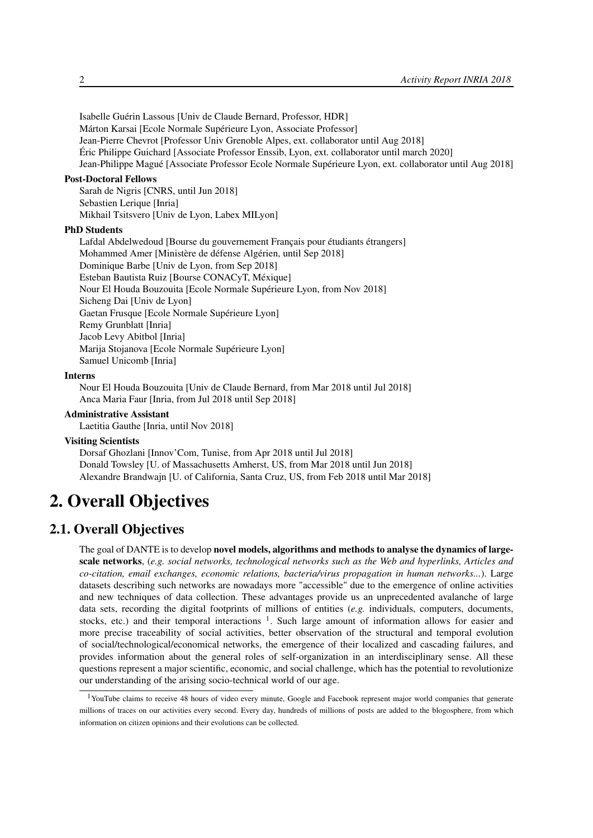Isabelle Guérin Lassous [Univ de Claude Bernard, Professor, HDR] Márton Karsai [Ecole Normale Supérieure Lyon, Associate Professor] Jean-Pierre Chevrot [Professor Univ Grenoble Alpes, ext. collaborator until Aug 2018] Éric Philippe Guichard [Associate Professor Enssib, Lyon, ext. collaborator until march 2020] Jean-Philippe Magué [Associate Professor Ecole Normale Supérieure Lyon, ext. collaborator until Aug 2018]

#### Post-Doctoral Fellows

Sarah de Nigris [CNRS, until Jun 2018] Sebastien Lerique [Inria] Mikhail Tsitsvero [Univ de Lyon, Labex MILyon]

#### PhD Students

Lafdal Abdelwedoud [Bourse du gouvernement Français pour étudiants étrangers] Mohammed Amer [Ministère de défense Algérien, until Sep 2018] Dominique Barbe [Univ de Lyon, from Sep 2018] Esteban Bautista Ruiz [Bourse CONACyT, Méxique] Nour El Houda Bouzouita [Ecole Normale Supérieure Lyon, from Nov 2018] Sicheng Dai [Univ de Lyon] Gaetan Frusque [Ecole Normale Supérieure Lyon] Remy Grunblatt [Inria] Jacob Levy Abitbol [Inria] Marija Stojanova [Ecole Normale Supérieure Lyon] Samuel Unicomb [Inria]

#### Interns

Nour El Houda Bouzouita [Univ de Claude Bernard, from Mar 2018 until Jul 2018] Anca Maria Faur [Inria, from Jul 2018 until Sep 2018]

#### Administrative Assistant

Laetitia Gauthe [Inria, until Nov 2018]

#### Visiting Scientists

Dorsaf Ghozlani [Innov'Com, Tunise, from Apr 2018 until Jul 2018] Donald Towsley [U. of Massachusetts Amherst, US, from Mar 2018 until Jun 2018] Alexandre Brandwajn [U. of California, Santa Cruz, US, from Feb 2018 until Mar 2018]

# <span id="page-7-0"></span>2. Overall Objectives

# 2.1. Overall Objectives

The goal of DANTE is to develop novel models, algorithms and methods to analyse the dynamics of largescale networks, (*e.g. social networks, technological networks such as the Web and hyperlinks, Articles and co-citation, email exchanges, economic relations, bacteria/virus propagation in human networks...*). Large datasets describing such networks are nowadays more "accessible" due to the emergence of online activities and new techniques of data collection. These advantages provide us an unprecedented avalanche of large data sets, recording the digital footprints of millions of entities (*e.g.* individuals, computers, documents, stocks, etc.) and their temporal interactions <sup>1</sup>. Such large amount of information allows for easier and more precise traceability of social activities, better observation of the structural and temporal evolution of social/technological/economical networks, the emergence of their localized and cascading failures, and provides information about the general roles of self-organization in an interdisciplinary sense. All these questions represent a major scientific, economic, and social challenge, which has the potential to revolutionize our understanding of the arising socio-technical world of our age.

<sup>&</sup>lt;sup>1</sup>YouTube claims to receive 48 hours of video every minute, Google and Facebook represent major world companies that generate millions of traces on our activities every second. Every day, hundreds of millions of posts are added to the blogosphere, from which information on citizen opinions and their evolutions can be collected.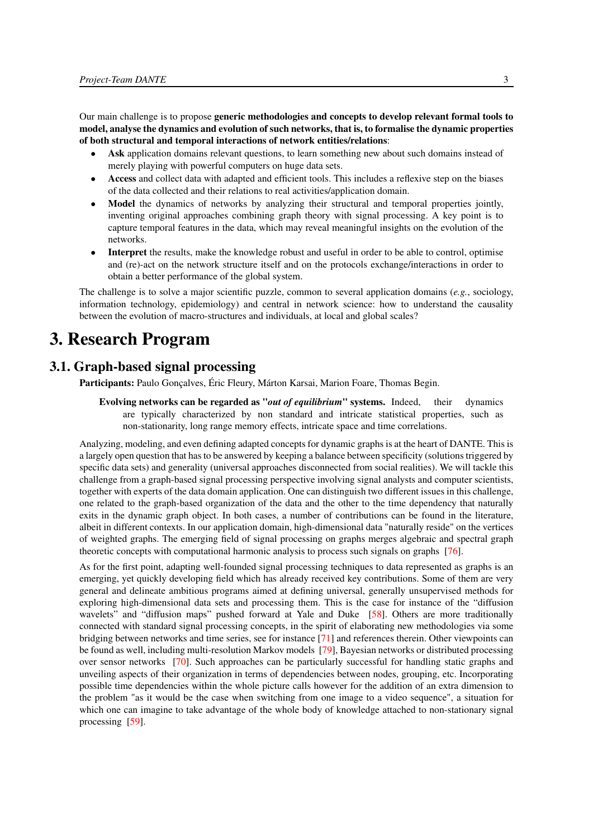Our main challenge is to propose generic methodologies and concepts to develop relevant formal tools to model, analyse the dynamics and evolution of such networks, that is, to formalise the dynamic properties of both structural and temporal interactions of network entities/relations:

- Ask application domains relevant questions, to learn something new about such domains instead of merely playing with powerful computers on huge data sets.
- Access and collect data with adapted and efficient tools. This includes a reflexive step on the biases of the data collected and their relations to real activities/application domain.
- Model the dynamics of networks by analyzing their structural and temporal properties jointly, inventing original approaches combining graph theory with signal processing. A key point is to capture temporal features in the data, which may reveal meaningful insights on the evolution of the networks.
- Interpret the results, make the knowledge robust and useful in order to be able to control, optimise and (re)-act on the network structure itself and on the protocols exchange/interactions in order to obtain a better performance of the global system.

The challenge is to solve a major scientific puzzle, common to several application domains (*e.g.*, sociology, information technology, epidemiology) and central in network science: how to understand the causality between the evolution of macro-structures and individuals, at local and global scales?

# <span id="page-8-0"></span>3. Research Program

# 3.1. Graph-based signal processing

<span id="page-8-1"></span>Participants: Paulo Gonçalves, Éric Fleury, Márton Karsai, Marion Foare, Thomas Begin.

Evolving networks can be regarded as "*out of equilibrium*" systems. Indeed, their dynamics are typically characterized by non standard and intricate statistical properties, such as non-stationarity, long range memory effects, intricate space and time correlations.

Analyzing, modeling, and even defining adapted concepts for dynamic graphs is at the heart of DANTE. This is a largely open question that has to be answered by keeping a balance between specificity (solutions triggered by specific data sets) and generality (universal approaches disconnected from social realities). We will tackle this challenge from a graph-based signal processing perspective involving signal analysts and computer scientists, together with experts of the data domain application. One can distinguish two different issues in this challenge, one related to the graph-based organization of the data and the other to the time dependency that naturally exits in the dynamic graph object. In both cases, a number of contributions can be found in the literature, albeit in different contexts. In our application domain, high-dimensional data "naturally reside" on the vertices of weighted graphs. The emerging field of signal processing on graphs merges algebraic and spectral graph theoretic concepts with computational harmonic analysis to process such signals on graphs [\[76\]](#page-39-0).

As for the first point, adapting well-founded signal processing techniques to data represented as graphs is an emerging, yet quickly developing field which has already received key contributions. Some of them are very general and delineate ambitious programs aimed at defining universal, generally unsupervised methods for exploring high-dimensional data sets and processing them. This is the case for instance of the "diffusion wavelets" and "diffusion maps" pushed forward at Yale and Duke [\[58\]](#page-38-0). Others are more traditionally connected with standard signal processing concepts, in the spirit of elaborating new methodologies via some bridging between networks and time series, see for instance [\[71\]](#page-39-1) and references therein. Other viewpoints can be found as well, including multi-resolution Markov models [\[79\]](#page-39-2), Bayesian networks or distributed processing over sensor networks [\[70\]](#page-39-3). Such approaches can be particularly successful for handling static graphs and unveiling aspects of their organization in terms of dependencies between nodes, grouping, etc. Incorporating possible time dependencies within the whole picture calls however for the addition of an extra dimension to the problem "as it would be the case when switching from one image to a video sequence", a situation for which one can imagine to take advantage of the whole body of knowledge attached to non-stationary signal processing [\[59\]](#page-38-1).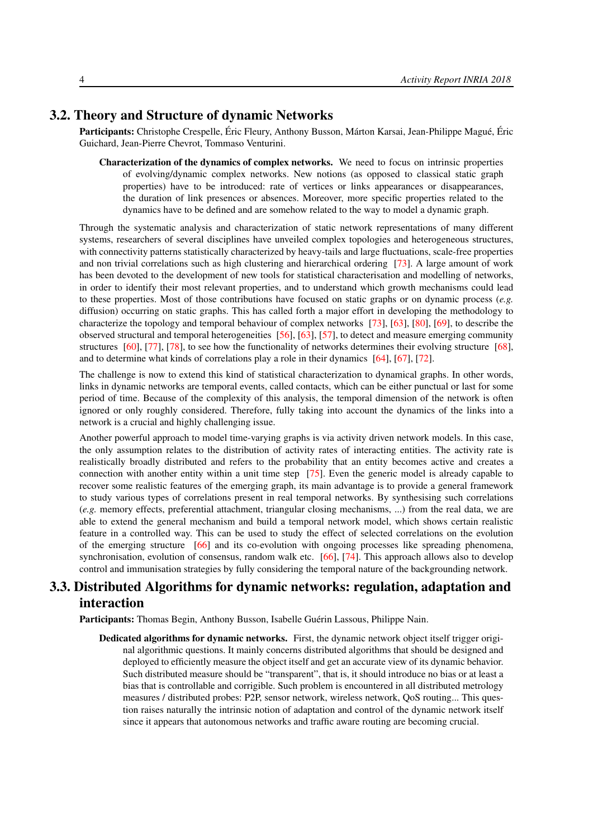# 3.2. Theory and Structure of dynamic Networks

<span id="page-9-0"></span>Participants: Christophe Crespelle, Éric Fleury, Anthony Busson, Márton Karsai, Jean-Philippe Magué, Éric Guichard, Jean-Pierre Chevrot, Tommaso Venturini.

Characterization of the dynamics of complex networks. We need to focus on intrinsic properties of evolving/dynamic complex networks. New notions (as opposed to classical static graph properties) have to be introduced: rate of vertices or links appearances or disappearances, the duration of link presences or absences. Moreover, more specific properties related to the dynamics have to be defined and are somehow related to the way to model a dynamic graph.

Through the systematic analysis and characterization of static network representations of many different systems, researchers of several disciplines have unveiled complex topologies and heterogeneous structures, with connectivity patterns statistically characterized by heavy-tails and large fluctuations, scale-free properties and non trivial correlations such as high clustering and hierarchical ordering [\[73\]](#page-39-4). A large amount of work has been devoted to the development of new tools for statistical characterisation and modelling of networks, in order to identify their most relevant properties, and to understand which growth mechanisms could lead to these properties. Most of those contributions have focused on static graphs or on dynamic process (*e.g.* diffusion) occurring on static graphs. This has called forth a major effort in developing the methodology to characterize the topology and temporal behaviour of complex networks [\[73\]](#page-39-4), [\[63\]](#page-38-2), [\[80\]](#page-39-5), [\[69\]](#page-39-6), to describe the observed structural and temporal heterogeneities [\[56\]](#page-38-3), [\[63\]](#page-38-2), [\[57\]](#page-38-4), to detect and measure emerging community structures [\[60\]](#page-38-5), [\[77\]](#page-39-7), [\[78\]](#page-39-8), to see how the functionality of networks determines their evolving structure [\[68\]](#page-39-9), and to determine what kinds of correlations play a role in their dynamics [\[64\]](#page-38-6), [\[67\]](#page-38-7), [\[72\]](#page-39-10).

The challenge is now to extend this kind of statistical characterization to dynamical graphs. In other words, links in dynamic networks are temporal events, called contacts, which can be either punctual or last for some period of time. Because of the complexity of this analysis, the temporal dimension of the network is often ignored or only roughly considered. Therefore, fully taking into account the dynamics of the links into a network is a crucial and highly challenging issue.

Another powerful approach to model time-varying graphs is via activity driven network models. In this case, the only assumption relates to the distribution of activity rates of interacting entities. The activity rate is realistically broadly distributed and refers to the probability that an entity becomes active and creates a connection with another entity within a unit time step [\[75\]](#page-39-11). Even the generic model is already capable to recover some realistic features of the emerging graph, its main advantage is to provide a general framework to study various types of correlations present in real temporal networks. By synthesising such correlations (*e.g.* memory effects, preferential attachment, triangular closing mechanisms, ...) from the real data, we are able to extend the general mechanism and build a temporal network model, which shows certain realistic feature in a controlled way. This can be used to study the effect of selected correlations on the evolution of the emerging structure [\[66\]](#page-38-8) and its co-evolution with ongoing processes like spreading phenomena, synchronisation, evolution of consensus, random walk etc. [\[66\]](#page-38-8), [\[74\]](#page-39-12). This approach allows also to develop control and immunisation strategies by fully considering the temporal nature of the backgrounding network.

# <span id="page-9-1"></span>3.3. Distributed Algorithms for dynamic networks: regulation, adaptation and interaction

Participants: Thomas Begin, Anthony Busson, Isabelle Guérin Lassous, Philippe Nain.

Dedicated algorithms for dynamic networks. First, the dynamic network object itself trigger original algorithmic questions. It mainly concerns distributed algorithms that should be designed and deployed to efficiently measure the object itself and get an accurate view of its dynamic behavior. Such distributed measure should be "transparent", that is, it should introduce no bias or at least a bias that is controllable and corrigible. Such problem is encountered in all distributed metrology measures / distributed probes: P2P, sensor network, wireless network, QoS routing... This question raises naturally the intrinsic notion of adaptation and control of the dynamic network itself since it appears that autonomous networks and traffic aware routing are becoming crucial.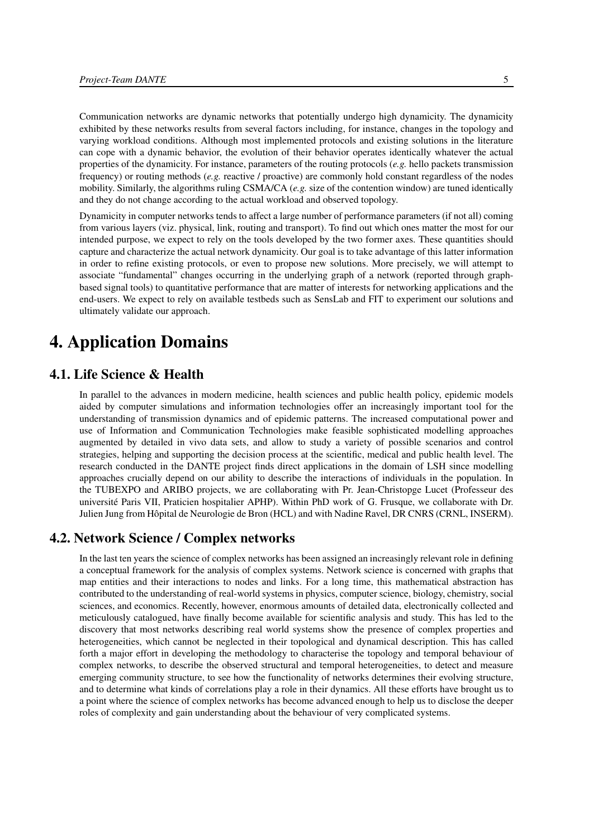Communication networks are dynamic networks that potentially undergo high dynamicity. The dynamicity exhibited by these networks results from several factors including, for instance, changes in the topology and varying workload conditions. Although most implemented protocols and existing solutions in the literature can cope with a dynamic behavior, the evolution of their behavior operates identically whatever the actual properties of the dynamicity. For instance, parameters of the routing protocols (*e.g.* hello packets transmission frequency) or routing methods (*e.g.* reactive / proactive) are commonly hold constant regardless of the nodes mobility. Similarly, the algorithms ruling CSMA/CA (*e.g.* size of the contention window) are tuned identically and they do not change according to the actual workload and observed topology.

Dynamicity in computer networks tends to affect a large number of performance parameters (if not all) coming from various layers (viz. physical, link, routing and transport). To find out which ones matter the most for our intended purpose, we expect to rely on the tools developed by the two former axes. These quantities should capture and characterize the actual network dynamicity. Our goal is to take advantage of this latter information in order to refine existing protocols, or even to propose new solutions. More precisely, we will attempt to associate "fundamental" changes occurring in the underlying graph of a network (reported through graphbased signal tools) to quantitative performance that are matter of interests for networking applications and the end-users. We expect to rely on available testbeds such as SensLab and FIT to experiment our solutions and ultimately validate our approach.

# <span id="page-10-0"></span>4. Application Domains

# 4.1. Life Science & Health

<span id="page-10-1"></span>In parallel to the advances in modern medicine, health sciences and public health policy, epidemic models aided by computer simulations and information technologies offer an increasingly important tool for the understanding of transmission dynamics and of epidemic patterns. The increased computational power and use of Information and Communication Technologies make feasible sophisticated modelling approaches augmented by detailed in vivo data sets, and allow to study a variety of possible scenarios and control strategies, helping and supporting the decision process at the scientific, medical and public health level. The research conducted in the DANTE project finds direct applications in the domain of LSH since modelling approaches crucially depend on our ability to describe the interactions of individuals in the population. In the TUBEXPO and ARIBO projects, we are collaborating with Pr. Jean-Christopge Lucet (Professeur des université Paris VII, Praticien hospitalier APHP). Within PhD work of G. Frusque, we collaborate with Dr. Julien Jung from Hôpital de Neurologie de Bron (HCL) and with Nadine Ravel, DR CNRS (CRNL, INSERM).

#### 4.2. Network Science / Complex networks

<span id="page-10-2"></span>In the last ten years the science of complex networks has been assigned an increasingly relevant role in defining a conceptual framework for the analysis of complex systems. Network science is concerned with graphs that map entities and their interactions to nodes and links. For a long time, this mathematical abstraction has contributed to the understanding of real-world systems in physics, computer science, biology, chemistry, social sciences, and economics. Recently, however, enormous amounts of detailed data, electronically collected and meticulously catalogued, have finally become available for scientific analysis and study. This has led to the discovery that most networks describing real world systems show the presence of complex properties and heterogeneities, which cannot be neglected in their topological and dynamical description. This has called forth a major effort in developing the methodology to characterise the topology and temporal behaviour of complex networks, to describe the observed structural and temporal heterogeneities, to detect and measure emerging community structure, to see how the functionality of networks determines their evolving structure, and to determine what kinds of correlations play a role in their dynamics. All these efforts have brought us to a point where the science of complex networks has become advanced enough to help us to disclose the deeper roles of complexity and gain understanding about the behaviour of very complicated systems.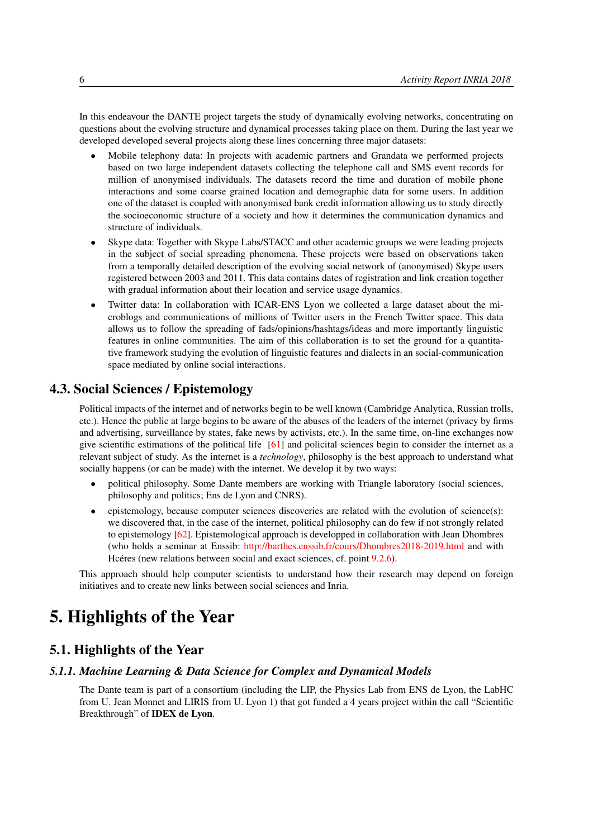In this endeavour the DANTE project targets the study of dynamically evolving networks, concentrating on questions about the evolving structure and dynamical processes taking place on them. During the last year we developed developed several projects along these lines concerning three major datasets:

- Mobile telephony data: In projects with academic partners and Grandata we performed projects based on two large independent datasets collecting the telephone call and SMS event records for million of anonymised individuals. The datasets record the time and duration of mobile phone interactions and some coarse grained location and demographic data for some users. In addition one of the dataset is coupled with anonymised bank credit information allowing us to study directly the socioeconomic structure of a society and how it determines the communication dynamics and structure of individuals.
- Skype data: Together with Skype Labs/STACC and other academic groups we were leading projects in the subject of social spreading phenomena. These projects were based on observations taken from a temporally detailed description of the evolving social network of (anonymised) Skype users registered between 2003 and 2011. This data contains dates of registration and link creation together with gradual information about their location and service usage dynamics.
- Twitter data: In collaboration with ICAR-ENS Lyon we collected a large dataset about the microblogs and communications of millions of Twitter users in the French Twitter space. This data allows us to follow the spreading of fads/opinions/hashtags/ideas and more importantly linguistic features in online communities. The aim of this collaboration is to set the ground for a quantitative framework studying the evolution of linguistic features and dialects in an social-communication space mediated by online social interactions.

# 4.3. Social Sciences / Epistemology

<span id="page-11-0"></span>Political impacts of the internet and of networks begin to be well known (Cambridge Analytica, Russian trolls, etc.). Hence the public at large begins to be aware of the abuses of the leaders of the internet (privacy by firms and advertising, surveillance by states, fake news by activists, etc.). In the same time, on-line exchanges now give scientific estimations of the political life [\[61\]](#page-38-9) and policital sciences begin to consider the internet as a relevant subject of study. As the internet is a *technology*, philosophy is the best approach to understand what socially happens (or can be made) with the internet. We develop it by two ways:

- political philosophy. Some Dante members are working with Triangle laboratory (social sciences, philosophy and politics; Ens de Lyon and CNRS).
- epistemology, because computer sciences discoveries are related with the evolution of science(s): we discovered that, in the case of the internet, political philosophy can do few if not strongly related to epistemology [\[62\]](#page-38-10). Epistemological approach is developped in collaboration with Jean Dhombres (who holds a seminar at Enssib: <http://barthes.enssib.fr/cours/Dhombres2018-2019.html> and with Hcéres (new relations between social and exact sciences, cf. point [9.2.6\)](#page-24-2).

<span id="page-11-1"></span>This approach should help computer scientists to understand how their research may depend on foreign initiatives and to create new links between social sciences and Inria.

# 5. Highlights of the Year

# 5.1. Highlights of the Year

#### *5.1.1. Machine Learning & Data Science for Complex and Dynamical Models*

<span id="page-11-2"></span>The Dante team is part of a consortium (including the LIP, the Physics Lab from ENS de Lyon, the LabHC from U. Jean Monnet and LIRIS from U. Lyon 1) that got funded a 4 years project within the call "Scientific Breakthrough" of IDEX de Lyon.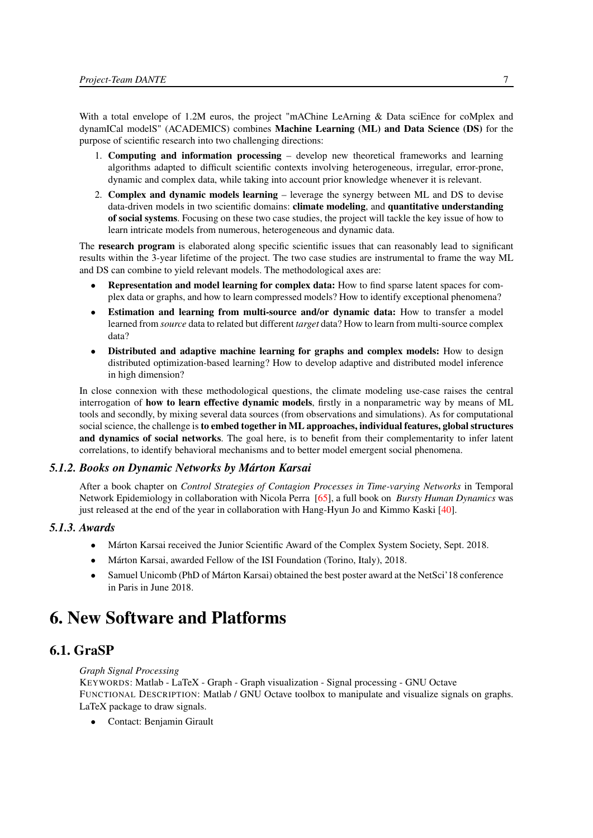With a total envelope of 1.2M euros, the project "mAChine LeArning & Data sciEnce for coMplex and dynamICal modelS" (ACADEMICS) combines Machine Learning (ML) and Data Science (DS) for the purpose of scientific research into two challenging directions:

- 1. Computing and information processing develop new theoretical frameworks and learning algorithms adapted to difficult scientific contexts involving heterogeneous, irregular, error-prone, dynamic and complex data, while taking into account prior knowledge whenever it is relevant.
- 2. Complex and dynamic models learning leverage the synergy between ML and DS to devise data-driven models in two scientific domains: **climate modeling**, and **quantitative understanding** of social systems. Focusing on these two case studies, the project will tackle the key issue of how to learn intricate models from numerous, heterogeneous and dynamic data.

The **research program** is elaborated along specific scientific issues that can reasonably lead to significant results within the 3-year lifetime of the project. The two case studies are instrumental to frame the way ML and DS can combine to yield relevant models. The methodological axes are:

- Representation and model learning for complex data: How to find sparse latent spaces for complex data or graphs, and how to learn compressed models? How to identify exceptional phenomena?
- Estimation and learning from multi-source and/or dynamic data: How to transfer a model learned from *source* data to related but different *target* data? How to learn from multi-source complex data?
- Distributed and adaptive machine learning for graphs and complex models: How to design distributed optimization-based learning? How to develop adaptive and distributed model inference in high dimension?

In close connexion with these methodological questions, the climate modeling use-case raises the central interrogation of how to learn effective dynamic models, firstly in a nonparametric way by means of ML tools and secondly, by mixing several data sources (from observations and simulations). As for computational social science, the challenge is to embed together in ML approaches, individual features, global structures and dynamics of social networks. The goal here, is to benefit from their complementarity to infer latent correlations, to identify behavioral mechanisms and to better model emergent social phenomena.

#### *5.1.2. Books on Dynamic Networks by Márton Karsai*

<span id="page-12-0"></span>After a book chapter on *Control Strategies of Contagion Processes in Time-varying Networks* in Temporal Network Epidemiology in collaboration with Nicola Perra [\[65\]](#page-38-11), a full book on *Bursty Human Dynamics* was just released at the end of the year in collaboration with Hang-Hyun Jo and Kimmo Kaski [\[40\]](#page-36-0).

#### *5.1.3. Awards*

- <span id="page-12-1"></span>• Márton Karsai received the Junior Scientific Award of the Complex System Society, Sept. 2018.
- Márton Karsai, awarded Fellow of the ISI Foundation (Torino, Italy), 2018.
- Samuel Unicomb (PhD of Márton Karsai) obtained the best poster award at the NetSci'll 8 conference in Paris in June 2018.

# <span id="page-12-2"></span>6. New Software and Platforms

# 6.1. GraSP

<span id="page-12-3"></span>*Graph Signal Processing*

KEYWORDS: Matlab - LaTeX - Graph - Graph visualization - Signal processing - GNU Octave FUNCTIONAL DESCRIPTION: Matlab / GNU Octave toolbox to manipulate and visualize signals on graphs. LaTeX package to draw signals.

• Contact: Benjamin Girault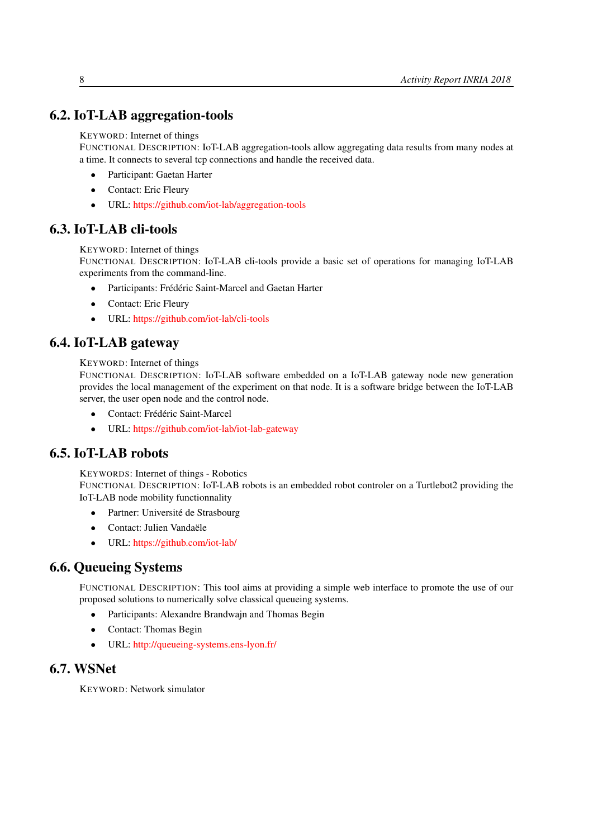# 6.2. IoT-LAB aggregation-tools

<span id="page-13-0"></span>KEYWORD: Internet of things

FUNCTIONAL DESCRIPTION: IoT-LAB aggregation-tools allow aggregating data results from many nodes at a time. It connects to several tcp connections and handle the received data.

- Participant: Gaetan Harter
- Contact: Eric Fleury
- <span id="page-13-1"></span>• URL: <https://github.com/iot-lab/aggregation-tools>

# 6.3. IoT-LAB cli-tools

KEYWORD: Internet of things

FUNCTIONAL DESCRIPTION: IoT-LAB cli-tools provide a basic set of operations for managing IoT-LAB experiments from the command-line.

- Participants: Frédéric Saint-Marcel and Gaetan Harter
- Contact: Eric Fleury
- <span id="page-13-2"></span>• URL: <https://github.com/iot-lab/cli-tools>

# 6.4. IoT-LAB gateway

KEYWORD: Internet of things

FUNCTIONAL DESCRIPTION: IoT-LAB software embedded on a IoT-LAB gateway node new generation provides the local management of the experiment on that node. It is a software bridge between the IoT-LAB server, the user open node and the control node.

- Contact: Frédéric Saint-Marcel
- <span id="page-13-3"></span>• URL: <https://github.com/iot-lab/iot-lab-gateway>

# 6.5. IoT-LAB robots

KEYWORDS: Internet of things - Robotics

FUNCTIONAL DESCRIPTION: IoT-LAB robots is an embedded robot controler on a Turtlebot2 providing the IoT-LAB node mobility functionnality

- Partner: Université de Strasbourg
- Contact: Julien Vandaële
- <span id="page-13-4"></span>• URL: <https://github.com/iot-lab/>

# 6.6. Queueing Systems

FUNCTIONAL DESCRIPTION: This tool aims at providing a simple web interface to promote the use of our proposed solutions to numerically solve classical queueing systems.

- Participants: Alexandre Brandwajn and Thomas Begin
- Contact: Thomas Begin
- <span id="page-13-5"></span>• URL: <http://queueing-systems.ens-lyon.fr/>

# 6.7. WSNet

KEYWORD: Network simulator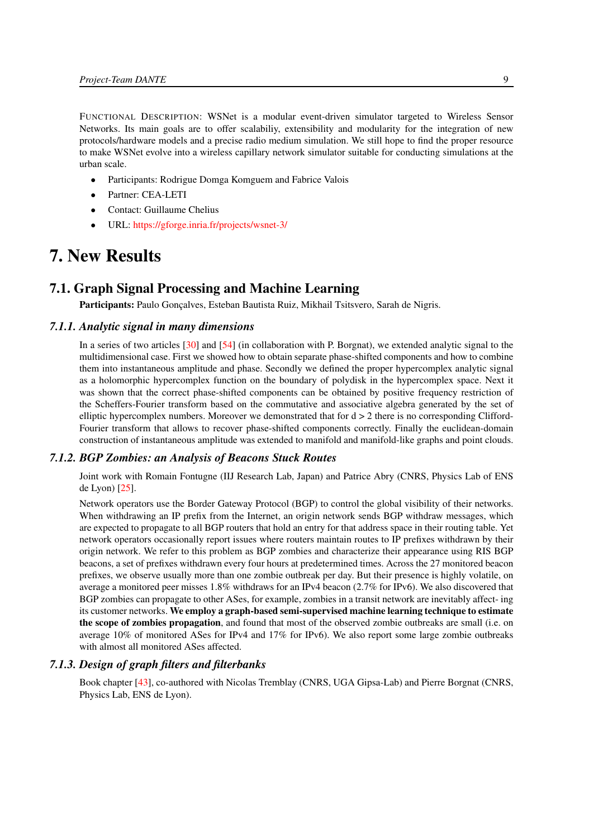FUNCTIONAL DESCRIPTION: WSNet is a modular event-driven simulator targeted to Wireless Sensor Networks. Its main goals are to offer scalabiliy, extensibility and modularity for the integration of new protocols/hardware models and a precise radio medium simulation. We still hope to find the proper resource to make WSNet evolve into a wireless capillary network simulator suitable for conducting simulations at the urban scale.

- Participants: Rodrigue Domga Komguem and Fabrice Valois
- Partner: CEA-LETI
- Contact: Guillaume Chelius
- <span id="page-14-0"></span>• URL: <https://gforge.inria.fr/projects/wsnet-3/>

# 7. New Results

# 7.1. Graph Signal Processing and Machine Learning

<span id="page-14-2"></span><span id="page-14-1"></span>Participants: Paulo Gonçalves, Esteban Bautista Ruiz, Mikhail Tsitsvero, Sarah de Nigris.

#### *7.1.1. Analytic signal in many dimensions*

In a series of two articles [\[30\]](#page-35-0) and [\[54\]](#page-38-12) (in collaboration with P. Borgnat), we extended analytic signal to the multidimensional case. First we showed how to obtain separate phase-shifted components and how to combine them into instantaneous amplitude and phase. Secondly we defined the proper hypercomplex analytic signal as a holomorphic hypercomplex function on the boundary of polydisk in the hypercomplex space. Next it was shown that the correct phase-shifted components can be obtained by positive frequency restriction of the Scheffers-Fourier transform based on the commutative and associative algebra generated by the set of elliptic hypercomplex numbers. Moreover we demonstrated that for  $d > 2$  there is no corresponding Clifford-Fourier transform that allows to recover phase-shifted components correctly. Finally the euclidean-domain construction of instantaneous amplitude was extended to manifold and manifold-like graphs and point clouds.

#### *7.1.2. BGP Zombies: an Analysis of Beacons Stuck Routes*

<span id="page-14-3"></span>Joint work with Romain Fontugne (IIJ Research Lab, Japan) and Patrice Abry (CNRS, Physics Lab of ENS de Lyon) [\[25\]](#page-35-1).

Network operators use the Border Gateway Protocol (BGP) to control the global visibility of their networks. When withdrawing an IP prefix from the Internet, an origin network sends BGP withdraw messages, which are expected to propagate to all BGP routers that hold an entry for that address space in their routing table. Yet network operators occasionally report issues where routers maintain routes to IP prefixes withdrawn by their origin network. We refer to this problem as BGP zombies and characterize their appearance using RIS BGP beacons, a set of prefixes withdrawn every four hours at predetermined times. Across the 27 monitored beacon prefixes, we observe usually more than one zombie outbreak per day. But their presence is highly volatile, on average a monitored peer misses 1.8% withdraws for an IPv4 beacon (2.7% for IPv6). We also discovered that BGP zombies can propagate to other ASes, for example, zombies in a transit network are inevitably affect- ing its customer networks. We employ a graph-based semi-supervised machine learning technique to estimate the scope of zombies propagation, and found that most of the observed zombie outbreaks are small (i.e. on average 10% of monitored ASes for IPv4 and 17% for IPv6). We also report some large zombie outbreaks with almost all monitored ASes affected.

#### *7.1.3. Design of graph filters and filterbanks*

<span id="page-14-4"></span>Book chapter [\[43\]](#page-37-0), co-authored with Nicolas Tremblay (CNRS, UGA Gipsa-Lab) and Pierre Borgnat (CNRS, Physics Lab, ENS de Lyon).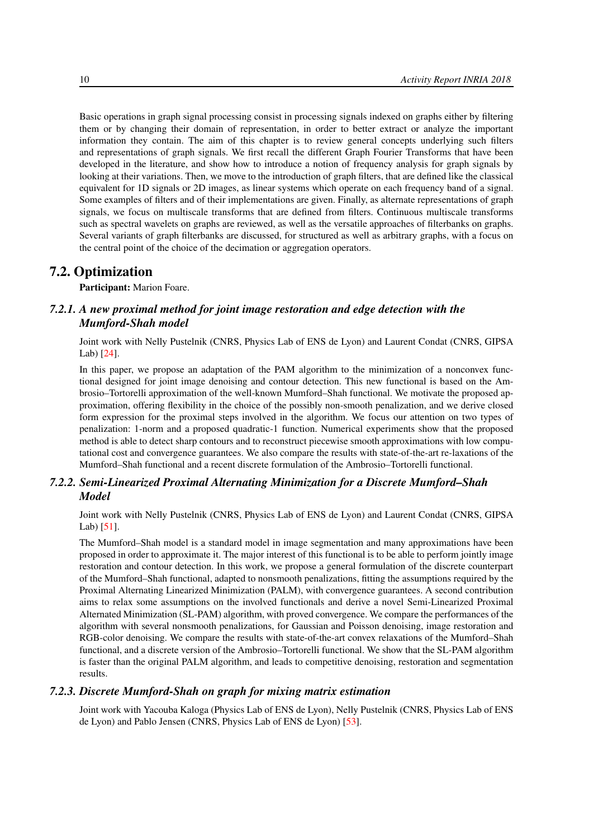Basic operations in graph signal processing consist in processing signals indexed on graphs either by filtering them or by changing their domain of representation, in order to better extract or analyze the important information they contain. The aim of this chapter is to review general concepts underlying such filters and representations of graph signals. We first recall the different Graph Fourier Transforms that have been developed in the literature, and show how to introduce a notion of frequency analysis for graph signals by looking at their variations. Then, we move to the introduction of graph filters, that are defined like the classical equivalent for 1D signals or 2D images, as linear systems which operate on each frequency band of a signal. Some examples of filters and of their implementations are given. Finally, as alternate representations of graph signals, we focus on multiscale transforms that are defined from filters. Continuous multiscale transforms such as spectral wavelets on graphs are reviewed, as well as the versatile approaches of filterbanks on graphs. Several variants of graph filterbanks are discussed, for structured as well as arbitrary graphs, with a focus on the central point of the choice of the decimation or aggregation operators.

# 7.2. Optimization

<span id="page-15-1"></span><span id="page-15-0"></span>Participant: Marion Foare.

# *7.2.1. A new proximal method for joint image restoration and edge detection with the Mumford-Shah model*

Joint work with Nelly Pustelnik (CNRS, Physics Lab of ENS de Lyon) and Laurent Condat (CNRS, GIPSA Lab) [\[24\]](#page-35-2).

In this paper, we propose an adaptation of the PAM algorithm to the minimization of a nonconvex functional designed for joint image denoising and contour detection. This new functional is based on the Ambrosio–Tortorelli approximation of the well-known Mumford–Shah functional. We motivate the proposed approximation, offering flexibility in the choice of the possibly non-smooth penalization, and we derive closed form expression for the proximal steps involved in the algorithm. We focus our attention on two types of penalization: 1-norm and a proposed quadratic-1 function. Numerical experiments show that the proposed method is able to detect sharp contours and to reconstruct piecewise smooth approximations with low computational cost and convergence guarantees. We also compare the results with state-of-the-art re-laxations of the Mumford–Shah functional and a recent discrete formulation of the Ambrosio–Tortorelli functional.

### <span id="page-15-2"></span>*7.2.2. Semi-Linearized Proximal Alternating Minimization for a Discrete Mumford–Shah Model*

Joint work with Nelly Pustelnik (CNRS, Physics Lab of ENS de Lyon) and Laurent Condat (CNRS, GIPSA Lab) [\[51\]](#page-37-1).

The Mumford–Shah model is a standard model in image segmentation and many approximations have been proposed in order to approximate it. The major interest of this functional is to be able to perform jointly image restoration and contour detection. In this work, we propose a general formulation of the discrete counterpart of the Mumford–Shah functional, adapted to nonsmooth penalizations, fitting the assumptions required by the Proximal Alternating Linearized Minimization (PALM), with convergence guarantees. A second contribution aims to relax some assumptions on the involved functionals and derive a novel Semi-Linearized Proximal Alternated Minimization (SL-PAM) algorithm, with proved convergence. We compare the performances of the algorithm with several nonsmooth penalizations, for Gaussian and Poisson denoising, image restoration and RGB-color denoising. We compare the results with state-of-the-art convex relaxations of the Mumford–Shah functional, and a discrete version of the Ambrosio–Tortorelli functional. We show that the SL-PAM algorithm is faster than the original PALM algorithm, and leads to competitive denoising, restoration and segmentation results.

#### *7.2.3. Discrete Mumford-Shah on graph for mixing matrix estimation*

<span id="page-15-3"></span>Joint work with Yacouba Kaloga (Physics Lab of ENS de Lyon), Nelly Pustelnik (CNRS, Physics Lab of ENS de Lyon) and Pablo Jensen (CNRS, Physics Lab of ENS de Lyon) [\[53\]](#page-37-2).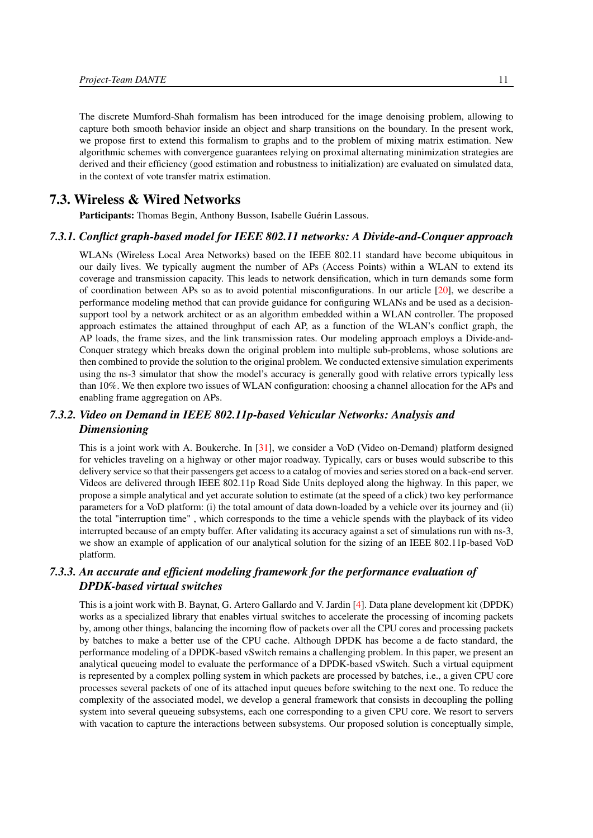The discrete Mumford-Shah formalism has been introduced for the image denoising problem, allowing to capture both smooth behavior inside an object and sharp transitions on the boundary. In the present work, we propose first to extend this formalism to graphs and to the problem of mixing matrix estimation. New algorithmic schemes with convergence guarantees relying on proximal alternating minimization strategies are derived and their efficiency (good estimation and robustness to initialization) are evaluated on simulated data, in the context of vote transfer matrix estimation.

# 7.3. Wireless & Wired Networks

<span id="page-16-1"></span><span id="page-16-0"></span>Participants: Thomas Begin, Anthony Busson, Isabelle Guérin Lassous.

#### *7.3.1. Conflict graph-based model for IEEE 802.11 networks: A Divide-and-Conquer approach*

WLANs (Wireless Local Area Networks) based on the IEEE 802.11 standard have become ubiquitous in our daily lives. We typically augment the number of APs (Access Points) within a WLAN to extend its coverage and transmission capacity. This leads to network densification, which in turn demands some form of coordination between APs so as to avoid potential misconfigurations. In our article [\[20\]](#page-34-0), we describe a performance modeling method that can provide guidance for configuring WLANs and be used as a decisionsupport tool by a network architect or as an algorithm embedded within a WLAN controller. The proposed approach estimates the attained throughput of each AP, as a function of the WLAN's conflict graph, the AP loads, the frame sizes, and the link transmission rates. Our modeling approach employs a Divide-and-Conquer strategy which breaks down the original problem into multiple sub-problems, whose solutions are then combined to provide the solution to the original problem. We conducted extensive simulation experiments using the ns-3 simulator that show the model's accuracy is generally good with relative errors typically less than 10%. We then explore two issues of WLAN configuration: choosing a channel allocation for the APs and enabling frame aggregation on APs.

# <span id="page-16-2"></span>*7.3.2. Video on Demand in IEEE 802.11p-based Vehicular Networks: Analysis and Dimensioning*

This is a joint work with A. Boukerche. In [\[31\]](#page-35-3), we consider a VoD (Video on-Demand) platform designed for vehicles traveling on a highway or other major roadway. Typically, cars or buses would subscribe to this delivery service so that their passengers get access to a catalog of movies and series stored on a back-end server. Videos are delivered through IEEE 802.11p Road Side Units deployed along the highway. In this paper, we propose a simple analytical and yet accurate solution to estimate (at the speed of a click) two key performance parameters for a VoD platform: (i) the total amount of data down-loaded by a vehicle over its journey and (ii) the total "interruption time" , which corresponds to the time a vehicle spends with the playback of its video interrupted because of an empty buffer. After validating its accuracy against a set of simulations run with ns-3, we show an example of application of our analytical solution for the sizing of an IEEE 802.11p-based VoD platform.

### <span id="page-16-3"></span>*7.3.3. An accurate and efficient modeling framework for the performance evaluation of DPDK-based virtual switches*

This is a joint work with B. Baynat, G. Artero Gallardo and V. Jardin [\[4\]](#page-33-3). Data plane development kit (DPDK) works as a specialized library that enables virtual switches to accelerate the processing of incoming packets by, among other things, balancing the incoming flow of packets over all the CPU cores and processing packets by batches to make a better use of the CPU cache. Although DPDK has become a de facto standard, the performance modeling of a DPDK-based vSwitch remains a challenging problem. In this paper, we present an analytical queueing model to evaluate the performance of a DPDK-based vSwitch. Such a virtual equipment is represented by a complex polling system in which packets are processed by batches, i.e., a given CPU core processes several packets of one of its attached input queues before switching to the next one. To reduce the complexity of the associated model, we develop a general framework that consists in decoupling the polling system into several queueing subsystems, each one corresponding to a given CPU core. We resort to servers with vacation to capture the interactions between subsystems. Our proposed solution is conceptually simple,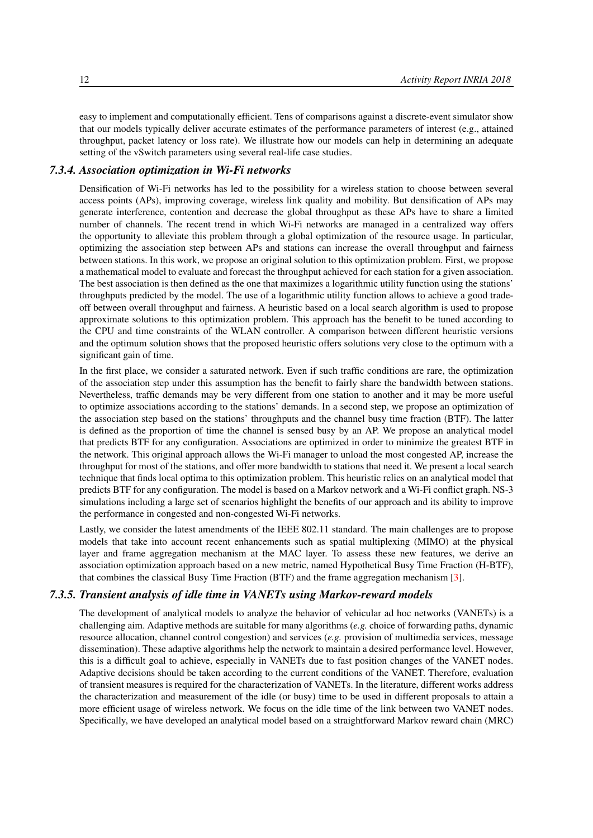easy to implement and computationally efficient. Tens of comparisons against a discrete-event simulator show that our models typically deliver accurate estimates of the performance parameters of interest (e.g., attained throughput, packet latency or loss rate). We illustrate how our models can help in determining an adequate setting of the vSwitch parameters using several real-life case studies.

#### *7.3.4. Association optimization in Wi-Fi networks*

<span id="page-17-0"></span>Densification of Wi-Fi networks has led to the possibility for a wireless station to choose between several access points (APs), improving coverage, wireless link quality and mobility. But densification of APs may generate interference, contention and decrease the global throughput as these APs have to share a limited number of channels. The recent trend in which Wi-Fi networks are managed in a centralized way offers the opportunity to alleviate this problem through a global optimization of the resource usage. In particular, optimizing the association step between APs and stations can increase the overall throughput and fairness between stations. In this work, we propose an original solution to this optimization problem. First, we propose a mathematical model to evaluate and forecast the throughput achieved for each station for a given association. The best association is then defined as the one that maximizes a logarithmic utility function using the stations' throughputs predicted by the model. The use of a logarithmic utility function allows to achieve a good tradeoff between overall throughput and fairness. A heuristic based on a local search algorithm is used to propose approximate solutions to this optimization problem. This approach has the benefit to be tuned according to the CPU and time constraints of the WLAN controller. A comparison between different heuristic versions and the optimum solution shows that the proposed heuristic offers solutions very close to the optimum with a significant gain of time.

In the first place, we consider a saturated network. Even if such traffic conditions are rare, the optimization of the association step under this assumption has the benefit to fairly share the bandwidth between stations. Nevertheless, traffic demands may be very different from one station to another and it may be more useful to optimize associations according to the stations' demands. In a second step, we propose an optimization of the association step based on the stations' throughputs and the channel busy time fraction (BTF). The latter is defined as the proportion of time the channel is sensed busy by an AP. We propose an analytical model that predicts BTF for any configuration. Associations are optimized in order to minimize the greatest BTF in the network. This original approach allows the Wi-Fi manager to unload the most congested AP, increase the throughput for most of the stations, and offer more bandwidth to stations that need it. We present a local search technique that finds local optima to this optimization problem. This heuristic relies on an analytical model that predicts BTF for any configuration. The model is based on a Markov network and a Wi-Fi conflict graph. NS-3 simulations including a large set of scenarios highlight the benefits of our approach and its ability to improve the performance in congested and non-congested Wi-Fi networks.

Lastly, we consider the latest amendments of the IEEE 802.11 standard. The main challenges are to propose models that take into account recent enhancements such as spatial multiplexing (MIMO) at the physical layer and frame aggregation mechanism at the MAC layer. To assess these new features, we derive an association optimization approach based on a new metric, named Hypothetical Busy Time Fraction (H-BTF), that combines the classical Busy Time Fraction (BTF) and the frame aggregation mechanism [\[3\]](#page-33-4).

#### *7.3.5. Transient analysis of idle time in VANETs using Markov-reward models*

<span id="page-17-1"></span>The development of analytical models to analyze the behavior of vehicular ad hoc networks (VANETs) is a challenging aim. Adaptive methods are suitable for many algorithms (*e.g.* choice of forwarding paths, dynamic resource allocation, channel control congestion) and services (*e.g.* provision of multimedia services, message dissemination). These adaptive algorithms help the network to maintain a desired performance level. However, this is a difficult goal to achieve, especially in VANETs due to fast position changes of the VANET nodes. Adaptive decisions should be taken according to the current conditions of the VANET. Therefore, evaluation of transient measures is required for the characterization of VANETs. In the literature, different works address the characterization and measurement of the idle (or busy) time to be used in different proposals to attain a more efficient usage of wireless network. We focus on the idle time of the link between two VANET nodes. Specifically, we have developed an analytical model based on a straightforward Markov reward chain (MRC)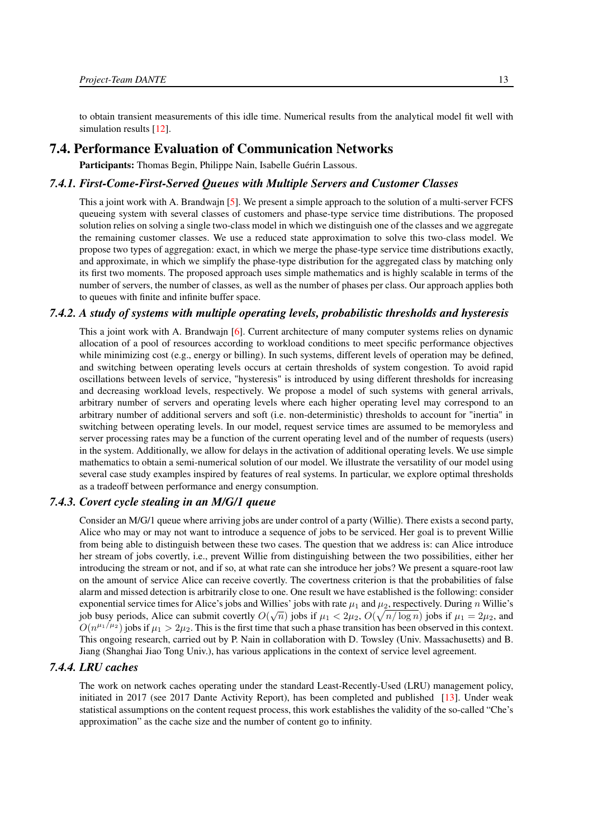to obtain transient measurements of this idle time. Numerical results from the analytical model fit well with simulation results [\[12\]](#page-34-1).

### 7.4. Performance Evaluation of Communication Networks

<span id="page-18-1"></span><span id="page-18-0"></span>Participants: Thomas Begin, Philippe Nain, Isabelle Guérin Lassous.

#### *7.4.1. First-Come-First-Served Queues with Multiple Servers and Customer Classes*

This a joint work with A. Brandwajn [\[5\]](#page-33-5). We present a simple approach to the solution of a multi-server FCFS queueing system with several classes of customers and phase-type service time distributions. The proposed solution relies on solving a single two-class model in which we distinguish one of the classes and we aggregate the remaining customer classes. We use a reduced state approximation to solve this two-class model. We propose two types of aggregation: exact, in which we merge the phase-type service time distributions exactly, and approximate, in which we simplify the phase-type distribution for the aggregated class by matching only its first two moments. The proposed approach uses simple mathematics and is highly scalable in terms of the number of servers, the number of classes, as well as the number of phases per class. Our approach applies both to queues with finite and infinite buffer space.

### *7.4.2. A study of systems with multiple operating levels, probabilistic thresholds and hysteresis*

<span id="page-18-2"></span>This a joint work with A. Brandwajn [\[6\]](#page-33-6). Current architecture of many computer systems relies on dynamic allocation of a pool of resources according to workload conditions to meet specific performance objectives while minimizing cost (e.g., energy or billing). In such systems, different levels of operation may be defined, and switching between operating levels occurs at certain thresholds of system congestion. To avoid rapid oscillations between levels of service, "hysteresis" is introduced by using different thresholds for increasing and decreasing workload levels, respectively. We propose a model of such systems with general arrivals, arbitrary number of servers and operating levels where each higher operating level may correspond to an arbitrary number of additional servers and soft (i.e. non-deterministic) thresholds to account for "inertia" in switching between operating levels. In our model, request service times are assumed to be memoryless and server processing rates may be a function of the current operating level and of the number of requests (users) in the system. Additionally, we allow for delays in the activation of additional operating levels. We use simple mathematics to obtain a semi-numerical solution of our model. We illustrate the versatility of our model using several case study examples inspired by features of real systems. In particular, we explore optimal thresholds as a tradeoff between performance and energy consumption.

#### *7.4.3. Covert cycle stealing in an M/G/1 queue*

<span id="page-18-3"></span>Consider an M/G/1 queue where arriving jobs are under control of a party (Willie). There exists a second party, Alice who may or may not want to introduce a sequence of jobs to be serviced. Her goal is to prevent Willie from being able to distinguish between these two cases. The question that we address is: can Alice introduce her stream of jobs covertly, i.e., prevent Willie from distinguishing between the two possibilities, either her introducing the stream or not, and if so, at what rate can she introduce her jobs? We present a square-root law on the amount of service Alice can receive covertly. The covertness criterion is that the probabilities of false alarm and missed detection is arbitrarily close to one. One result we have established is the following: consider exponential service times for Alice's jobs and Willies' jobs with rate  $\mu_1$  and  $\mu_2$ , respectively. During n Willie's job busy periods, Alice can submit covertly  $O(\sqrt{n})$  jobs if  $\mu_1 < 2\mu_2$ ,  $O(\sqrt{n/\log n})$  jobs if  $\mu_1 = 2\mu_2$ , and  $O(n^{\mu_1/\mu_2})$  jobs if  $\mu_1 > 2\mu_2$ . This is the first time that such a phase transition has been observed in this context. This ongoing research, carried out by P. Nain in collaboration with D. Towsley (Univ. Massachusetts) and B. Jiang (Shanghai Jiao Tong Univ.), has various applications in the context of service level agreement.

#### *7.4.4. LRU caches*

<span id="page-18-4"></span>The work on network caches operating under the standard Least-Recently-Used (LRU) management policy, initiated in 2017 (see 2017 Dante Activity Report), has been completed and published [\[13\]](#page-34-2). Under weak statistical assumptions on the content request process, this work establishes the validity of the so-called "Che's approximation" as the cache size and the number of content go to infinity.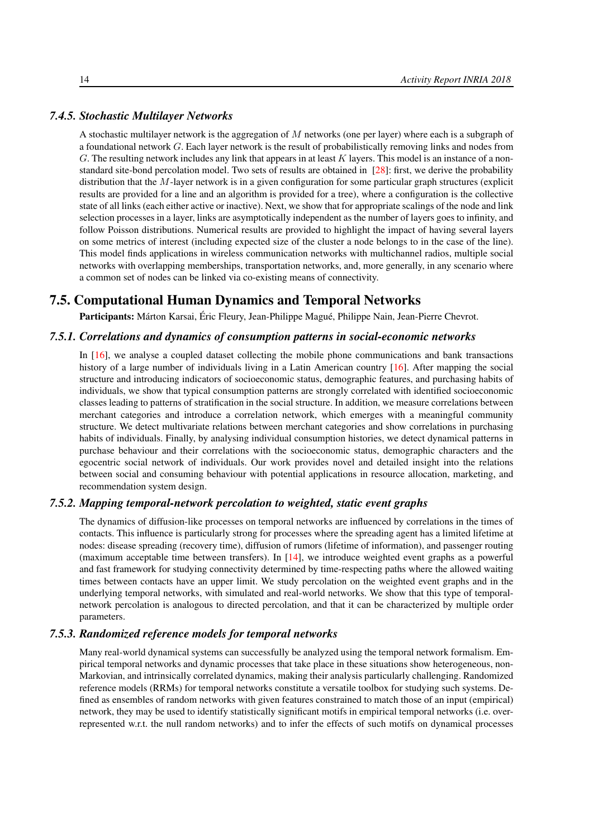#### *7.4.5. Stochastic Multilayer Networks*

<span id="page-19-0"></span>A stochastic multilayer network is the aggregation of M networks (one per layer) where each is a subgraph of a foundational network G. Each layer network is the result of probabilistically removing links and nodes from G. The resulting network includes any link that appears in at least  $K$  layers. This model is an instance of a nonstandard site-bond percolation model. Two sets of results are obtained in [\[28\]](#page-35-4): first, we derive the probability distribution that the  $M$ -layer network is in a given configuration for some particular graph structures (explicit results are provided for a line and an algorithm is provided for a tree), where a configuration is the collective state of all links (each either active or inactive). Next, we show that for appropriate scalings of the node and link selection processes in a layer, links are asymptotically independent as the number of layers goes to infinity, and follow Poisson distributions. Numerical results are provided to highlight the impact of having several layers on some metrics of interest (including expected size of the cluster a node belongs to in the case of the line). This model finds applications in wireless communication networks with multichannel radios, multiple social networks with overlapping memberships, transportation networks, and, more generally, in any scenario where a common set of nodes can be linked via co-existing means of connectivity.

# 7.5. Computational Human Dynamics and Temporal Networks

<span id="page-19-2"></span><span id="page-19-1"></span>Participants: Márton Karsai, Éric Fleury, Jean-Philippe Magué, Philippe Nain, Jean-Pierre Chevrot.

#### *7.5.1. Correlations and dynamics of consumption patterns in social-economic networks*

In [\[16\]](#page-34-3), we analyse a coupled dataset collecting the mobile phone communications and bank transactions history of a large number of individuals living in a Latin American country [\[16\]](#page-34-3). After mapping the social structure and introducing indicators of socioeconomic status, demographic features, and purchasing habits of individuals, we show that typical consumption patterns are strongly correlated with identified socioeconomic classes leading to patterns of stratification in the social structure. In addition, we measure correlations between merchant categories and introduce a correlation network, which emerges with a meaningful community structure. We detect multivariate relations between merchant categories and show correlations in purchasing habits of individuals. Finally, by analysing individual consumption histories, we detect dynamical patterns in purchase behaviour and their correlations with the socioeconomic status, demographic characters and the egocentric social network of individuals. Our work provides novel and detailed insight into the relations between social and consuming behaviour with potential applications in resource allocation, marketing, and recommendation system design.

#### *7.5.2. Mapping temporal-network percolation to weighted, static event graphs*

<span id="page-19-3"></span>The dynamics of diffusion-like processes on temporal networks are influenced by correlations in the times of contacts. This influence is particularly strong for processes where the spreading agent has a limited lifetime at nodes: disease spreading (recovery time), diffusion of rumors (lifetime of information), and passenger routing (maximum acceptable time between transfers). In [\[14\]](#page-34-4), we introduce weighted event graphs as a powerful and fast framework for studying connectivity determined by time-respecting paths where the allowed waiting times between contacts have an upper limit. We study percolation on the weighted event graphs and in the underlying temporal networks, with simulated and real-world networks. We show that this type of temporalnetwork percolation is analogous to directed percolation, and that it can be characterized by multiple order parameters.

#### *7.5.3. Randomized reference models for temporal networks*

<span id="page-19-4"></span>Many real-world dynamical systems can successfully be analyzed using the temporal network formalism. Empirical temporal networks and dynamic processes that take place in these situations show heterogeneous, non-Markovian, and intrinsically correlated dynamics, making their analysis particularly challenging. Randomized reference models (RRMs) for temporal networks constitute a versatile toolbox for studying such systems. Defined as ensembles of random networks with given features constrained to match those of an input (empirical) network, they may be used to identify statistically significant motifs in empirical temporal networks (i.e. overrepresented w.r.t. the null random networks) and to infer the effects of such motifs on dynamical processes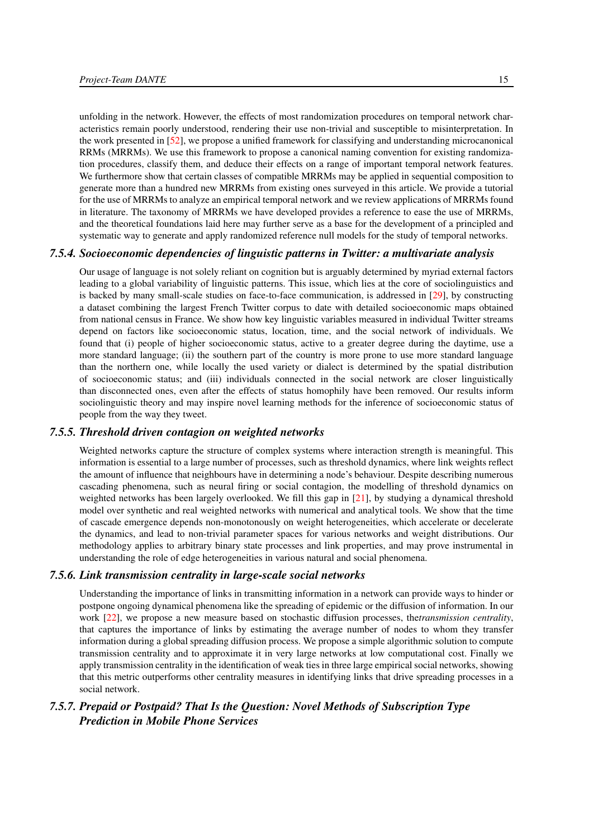unfolding in the network. However, the effects of most randomization procedures on temporal network characteristics remain poorly understood, rendering their use non-trivial and susceptible to misinterpretation. In the work presented in [\[52\]](#page-37-3), we propose a unified framework for classifying and understanding microcanonical RRMs (MRRMs). We use this framework to propose a canonical naming convention for existing randomization procedures, classify them, and deduce their effects on a range of important temporal network features. We furthermore show that certain classes of compatible MRRMs may be applied in sequential composition to generate more than a hundred new MRRMs from existing ones surveyed in this article. We provide a tutorial for the use of MRRMs to analyze an empirical temporal network and we review applications of MRRMs found in literature. The taxonomy of MRRMs we have developed provides a reference to ease the use of MRRMs, and the theoretical foundations laid here may further serve as a base for the development of a principled and systematic way to generate and apply randomized reference null models for the study of temporal networks.

#### *7.5.4. Socioeconomic dependencies of linguistic patterns in Twitter: a multivariate analysis*

<span id="page-20-0"></span>Our usage of language is not solely reliant on cognition but is arguably determined by myriad external factors leading to a global variability of linguistic patterns. This issue, which lies at the core of sociolinguistics and is backed by many small-scale studies on face-to-face communication, is addressed in [\[29\]](#page-35-5), by constructing a dataset combining the largest French Twitter corpus to date with detailed socioeconomic maps obtained from national census in France. We show how key linguistic variables measured in individual Twitter streams depend on factors like socioeconomic status, location, time, and the social network of individuals. We found that (i) people of higher socioeconomic status, active to a greater degree during the daytime, use a more standard language; (ii) the southern part of the country is more prone to use more standard language than the northern one, while locally the used variety or dialect is determined by the spatial distribution of socioeconomic status; and (iii) individuals connected in the social network are closer linguistically than disconnected ones, even after the effects of status homophily have been removed. Our results inform sociolinguistic theory and may inspire novel learning methods for the inference of socioeconomic status of people from the way they tweet.

#### *7.5.5. Threshold driven contagion on weighted networks*

<span id="page-20-1"></span>Weighted networks capture the structure of complex systems where interaction strength is meaningful. This information is essential to a large number of processes, such as threshold dynamics, where link weights reflect the amount of influence that neighbours have in determining a node's behaviour. Despite describing numerous cascading phenomena, such as neural firing or social contagion, the modelling of threshold dynamics on weighted networks has been largely overlooked. We fill this gap in [\[21\]](#page-34-5), by studying a dynamical threshold model over synthetic and real weighted networks with numerical and analytical tools. We show that the time of cascade emergence depends non-monotonously on weight heterogeneities, which accelerate or decelerate the dynamics, and lead to non-trivial parameter spaces for various networks and weight distributions. Our methodology applies to arbitrary binary state processes and link properties, and may prove instrumental in understanding the role of edge heterogeneities in various natural and social phenomena.

#### *7.5.6. Link transmission centrality in large-scale social networks*

<span id="page-20-2"></span>Understanding the importance of links in transmitting information in a network can provide ways to hinder or postpone ongoing dynamical phenomena like the spreading of epidemic or the diffusion of information. In our work [\[22\]](#page-35-6), we propose a new measure based on stochastic diffusion processes, the*transmission centrality*, that captures the importance of links by estimating the average number of nodes to whom they transfer information during a global spreading diffusion process. We propose a simple algorithmic solution to compute transmission centrality and to approximate it in very large networks at low computational cost. Finally we apply transmission centrality in the identification of weak ties in three large empirical social networks, showing that this metric outperforms other centrality measures in identifying links that drive spreading processes in a social network.

# <span id="page-20-3"></span>*7.5.7. Prepaid or Postpaid? That Is the Question: Novel Methods of Subscription Type Prediction in Mobile Phone Services*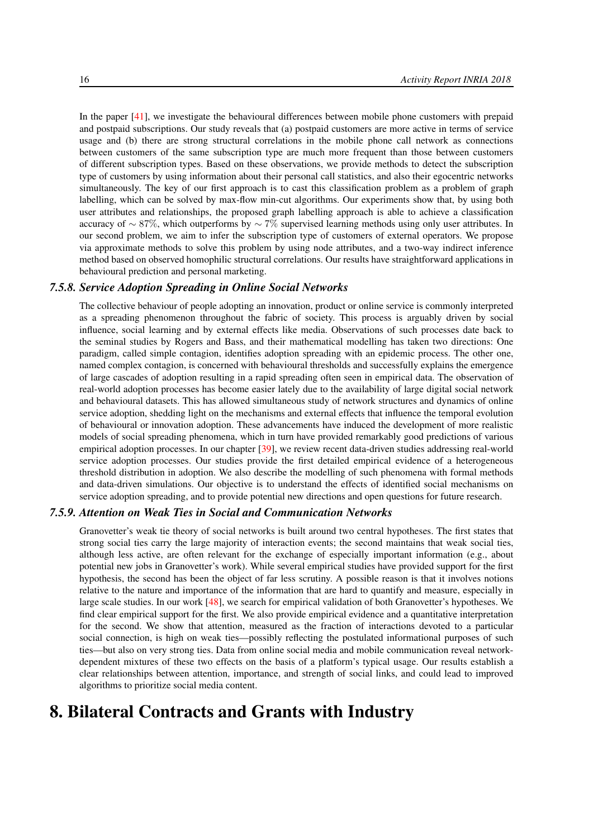In the paper [\[41\]](#page-36-1), we investigate the behavioural differences between mobile phone customers with prepaid and postpaid subscriptions. Our study reveals that (a) postpaid customers are more active in terms of service usage and (b) there are strong structural correlations in the mobile phone call network as connections between customers of the same subscription type are much more frequent than those between customers of different subscription types. Based on these observations, we provide methods to detect the subscription type of customers by using information about their personal call statistics, and also their egocentric networks simultaneously. The key of our first approach is to cast this classification problem as a problem of graph labelling, which can be solved by max-flow min-cut algorithms. Our experiments show that, by using both user attributes and relationships, the proposed graph labelling approach is able to achieve a classification accuracy of ∼ 87%, which outperforms by  $\sim$  7% supervised learning methods using only user attributes. In our second problem, we aim to infer the subscription type of customers of external operators. We propose via approximate methods to solve this problem by using node attributes, and a two-way indirect inference method based on observed homophilic structural correlations. Our results have straightforward applications in behavioural prediction and personal marketing.

#### *7.5.8. Service Adoption Spreading in Online Social Networks*

<span id="page-21-0"></span>The collective behaviour of people adopting an innovation, product or online service is commonly interpreted as a spreading phenomenon throughout the fabric of society. This process is arguably driven by social influence, social learning and by external effects like media. Observations of such processes date back to the seminal studies by Rogers and Bass, and their mathematical modelling has taken two directions: One paradigm, called simple contagion, identifies adoption spreading with an epidemic process. The other one, named complex contagion, is concerned with behavioural thresholds and successfully explains the emergence of large cascades of adoption resulting in a rapid spreading often seen in empirical data. The observation of real-world adoption processes has become easier lately due to the availability of large digital social network and behavioural datasets. This has allowed simultaneous study of network structures and dynamics of online service adoption, shedding light on the mechanisms and external effects that influence the temporal evolution of behavioural or innovation adoption. These advancements have induced the development of more realistic models of social spreading phenomena, which in turn have provided remarkably good predictions of various empirical adoption processes. In our chapter [\[39\]](#page-36-2), we review recent data-driven studies addressing real-world service adoption processes. Our studies provide the first detailed empirical evidence of a heterogeneous threshold distribution in adoption. We also describe the modelling of such phenomena with formal methods and data-driven simulations. Our objective is to understand the effects of identified social mechanisms on service adoption spreading, and to provide potential new directions and open questions for future research.

#### *7.5.9. Attention on Weak Ties in Social and Communication Networks*

<span id="page-21-1"></span>Granovetter's weak tie theory of social networks is built around two central hypotheses. The first states that strong social ties carry the large majority of interaction events; the second maintains that weak social ties, although less active, are often relevant for the exchange of especially important information (e.g., about potential new jobs in Granovetter's work). While several empirical studies have provided support for the first hypothesis, the second has been the object of far less scrutiny. A possible reason is that it involves notions relative to the nature and importance of the information that are hard to quantify and measure, especially in large scale studies. In our work [\[48\]](#page-37-4), we search for empirical validation of both Granovetter's hypotheses. We find clear empirical support for the first. We also provide empirical evidence and a quantitative interpretation for the second. We show that attention, measured as the fraction of interactions devoted to a particular social connection, is high on weak ties—possibly reflecting the postulated informational purposes of such ties—but also on very strong ties. Data from online social media and mobile communication reveal networkdependent mixtures of these two effects on the basis of a platform's typical usage. Our results establish a clear relationships between attention, importance, and strength of social links, and could lead to improved algorithms to prioritize social media content.

# <span id="page-21-2"></span>8. Bilateral Contracts and Grants with Industry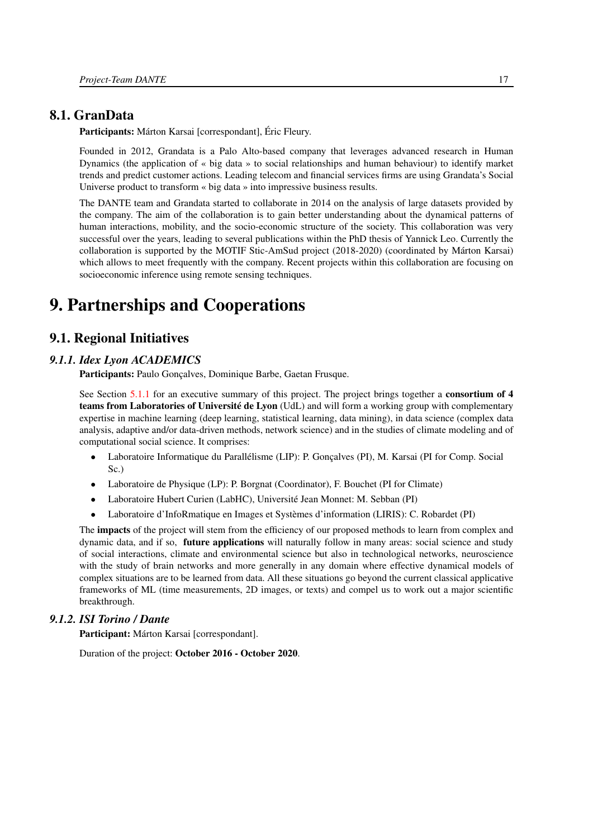### 8.1. GranData

Participants: Márton Karsai [correspondant], Éric Fleury.

Founded in 2012, Grandata is a Palo Alto-based company that leverages advanced research in Human Dynamics (the application of « big data » to social relationships and human behaviour) to identify market trends and predict customer actions. Leading telecom and financial services firms are using Grandata's Social Universe product to transform « big data » into impressive business results.

The DANTE team and Grandata started to collaborate in 2014 on the analysis of large datasets provided by the company. The aim of the collaboration is to gain better understanding about the dynamical patterns of human interactions, mobility, and the socio-economic structure of the society. This collaboration was very successful over the years, leading to several publications within the PhD thesis of Yannick Leo. Currently the collaboration is supported by the MOTIF Stic-AmSud project (2018-2020) (coordinated by Márton Karsai) which allows to meet frequently with the company. Recent projects within this collaboration are focusing on socioeconomic inference using remote sensing techniques.

# <span id="page-22-0"></span>9. Partnerships and Cooperations

# <span id="page-22-1"></span>9.1. Regional Initiatives

#### *9.1.1. Idex Lyon ACADEMICS*

<span id="page-22-2"></span>Participants: Paulo Gonçalves, Dominique Barbe, Gaetan Frusque.

See Section [5.1.1](#page-11-2) for an executive summary of this project. The project brings together a **consortium of 4** teams from Laboratories of Université de Lyon (UdL) and will form a working group with complementary expertise in machine learning (deep learning, statistical learning, data mining), in data science (complex data analysis, adaptive and/or data-driven methods, network science) and in the studies of climate modeling and of computational social science. It comprises:

- Laboratoire Informatique du Parallélisme (LIP): P. Gonçalves (PI), M. Karsai (PI for Comp. Social Sc.)
- Laboratoire de Physique (LP): P. Borgnat (Coordinator), F. Bouchet (PI for Climate)
- Laboratoire Hubert Curien (LabHC), Université Jean Monnet: M. Sebban (PI)
- Laboratoire d'InfoRmatique en Images et Systèmes d'information (LIRIS): C. Robardet (PI)

The **impacts** of the project will stem from the efficiency of our proposed methods to learn from complex and dynamic data, and if so, **future applications** will naturally follow in many areas: social science and study of social interactions, climate and environmental science but also in technological networks, neuroscience with the study of brain networks and more generally in any domain where effective dynamical models of complex situations are to be learned from data. All these situations go beyond the current classical applicative frameworks of ML (time measurements, 2D images, or texts) and compel us to work out a major scientific breakthrough.

### *9.1.2. ISI Torino / Dante*

<span id="page-22-3"></span>Participant: Márton Karsai [correspondant].

Duration of the project: October 2016 - October 2020.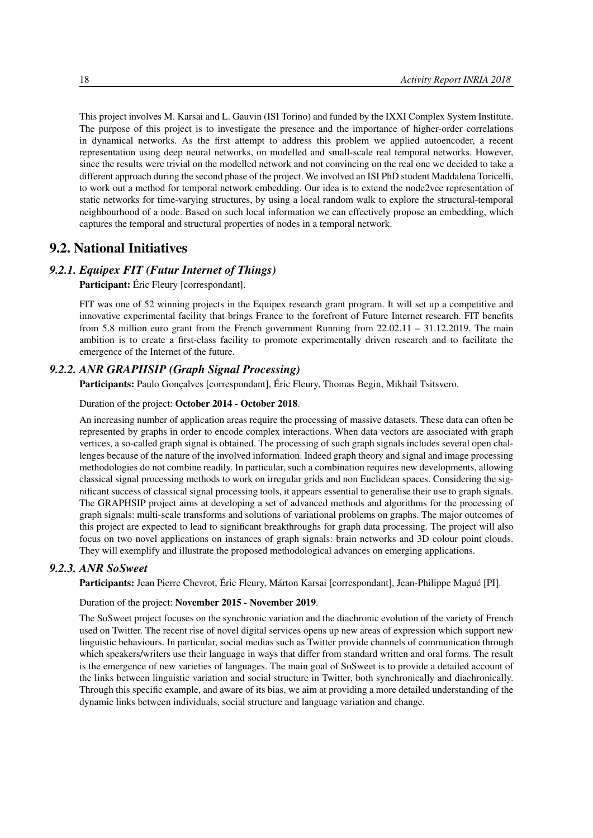This project involves M. Karsai and L. Gauvin (ISI Torino) and funded by the IXXI Complex System Institute. The purpose of this project is to investigate the presence and the importance of higher-order correlations in dynamical networks. As the first attempt to address this problem we applied autoencoder, a recent representation using deep neural networks, on modelled and small-scale real temporal networks. However, since the results were trivial on the modelled network and not convincing on the real one we decided to take a different approach during the second phase of the project. We involved an ISI PhD student Maddalena Toricelli, to work out a method for temporal network embedding. Our idea is to extend the node2vec representation of static networks for time-varying structures, by using a local random walk to explore the structural-temporal neighbourhood of a node. Based on such local information we can effectively propose an embedding, which captures the temporal and structural properties of nodes in a temporal network.

### <span id="page-23-0"></span>9.2. National Initiatives

#### *9.2.1. Equipex FIT (Futur Internet of Things)*

<span id="page-23-1"></span>Participant: Éric Fleury [correspondant].

FIT was one of 52 winning projects in the Equipex research grant program. It will set up a competitive and innovative experimental facility that brings France to the forefront of Future Internet research. FIT benefits from 5.8 million euro grant from the French government Running from 22.02.11 – 31.12.2019. The main ambition is to create a first-class facility to promote experimentally driven research and to facilitate the emergence of the Internet of the future.

#### *9.2.2. ANR GRAPHSIP (Graph Signal Processing)*

<span id="page-23-2"></span>Participants: Paulo Gonçalves [correspondant], Éric Fleury, Thomas Begin, Mikhail Tsitsvero.

#### Duration of the project: October 2014 - October 2018.

An increasing number of application areas require the processing of massive datasets. These data can often be represented by graphs in order to encode complex interactions. When data vectors are associated with graph vertices, a so-called graph signal is obtained. The processing of such graph signals includes several open challenges because of the nature of the involved information. Indeed graph theory and signal and image processing methodologies do not combine readily. In particular, such a combination requires new developments, allowing classical signal processing methods to work on irregular grids and non Euclidean spaces. Considering the significant success of classical signal processing tools, it appears essential to generalise their use to graph signals. The GRAPHSIP project aims at developing a set of advanced methods and algorithms for the processing of graph signals: multi-scale transforms and solutions of variational problems on graphs. The major outcomes of this project are expected to lead to significant breakthroughs for graph data processing. The project will also focus on two novel applications on instances of graph signals: brain networks and 3D colour point clouds. They will exemplify and illustrate the proposed methodological advances on emerging applications.

#### *9.2.3. ANR SoSweet*

<span id="page-23-3"></span>Participants: Jean Pierre Chevrot, Éric Fleury, Márton Karsai [correspondant], Jean-Philippe Magué [PI].

#### Duration of the project: November 2015 - November 2019.

The SoSweet project focuses on the synchronic variation and the diachronic evolution of the variety of French used on Twitter. The recent rise of novel digital services opens up new areas of expression which support new linguistic behaviours. In particular, social medias such as Twitter provide channels of communication through which speakers/writers use their language in ways that differ from standard written and oral forms. The result is the emergence of new varieties of languages. The main goal of SoSweet is to provide a detailed account of the links between linguistic variation and social structure in Twitter, both synchronically and diachronically. Through this specific example, and aware of its bias, we aim at providing a more detailed understanding of the dynamic links between individuals, social structure and language variation and change.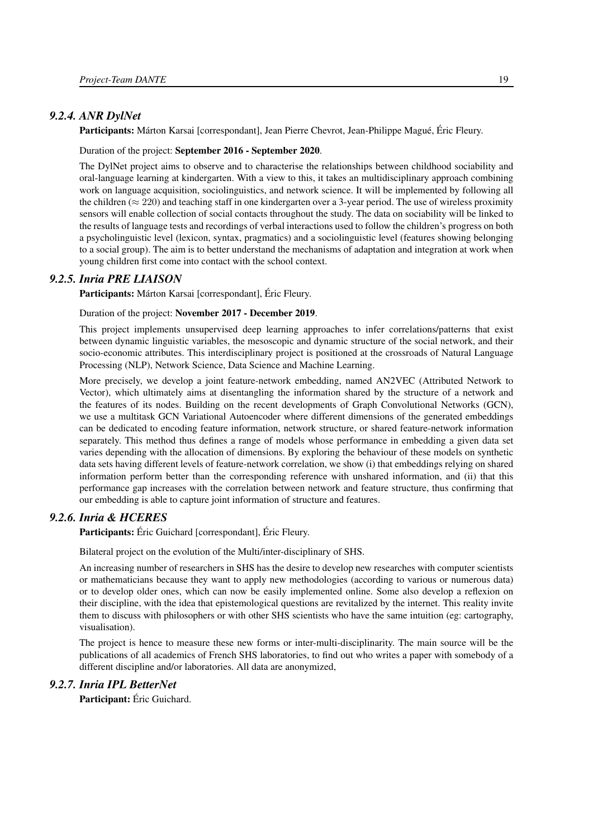#### *9.2.4. ANR DylNet*

<span id="page-24-0"></span>Participants: Márton Karsai [correspondant], Jean Pierre Chevrot, Jean-Philippe Magué, Éric Fleury.

Duration of the project: September 2016 - September 2020.

The DylNet project aims to observe and to characterise the relationships between childhood sociability and oral-language learning at kindergarten. With a view to this, it takes an multidisciplinary approach combining work on language acquisition, sociolinguistics, and network science. It will be implemented by following all the children ( $\approx$  220) and teaching staff in one kindergarten over a 3-year period. The use of wireless proximity sensors will enable collection of social contacts throughout the study. The data on sociability will be linked to the results of language tests and recordings of verbal interactions used to follow the children's progress on both a psycholinguistic level (lexicon, syntax, pragmatics) and a sociolinguistic level (features showing belonging to a social group). The aim is to better understand the mechanisms of adaptation and integration at work when young children first come into contact with the school context.

#### *9.2.5. Inria PRE LIAISON*

<span id="page-24-1"></span>Participants: Márton Karsai [correspondant], Éric Fleury.

Duration of the project: November 2017 - December 2019.

This project implements unsupervised deep learning approaches to infer correlations/patterns that exist between dynamic linguistic variables, the mesoscopic and dynamic structure of the social network, and their socio-economic attributes. This interdisciplinary project is positioned at the crossroads of Natural Language Processing (NLP), Network Science, Data Science and Machine Learning.

More precisely, we develop a joint feature-network embedding, named AN2VEC (Attributed Network to Vector), which ultimately aims at disentangling the information shared by the structure of a network and the features of its nodes. Building on the recent developments of Graph Convolutional Networks (GCN), we use a multitask GCN Variational Autoencoder where different dimensions of the generated embeddings can be dedicated to encoding feature information, network structure, or shared feature-network information separately. This method thus defines a range of models whose performance in embedding a given data set varies depending with the allocation of dimensions. By exploring the behaviour of these models on synthetic data sets having different levels of feature-network correlation, we show (i) that embeddings relying on shared information perform better than the corresponding reference with unshared information, and (ii) that this performance gap increases with the correlation between network and feature structure, thus confirming that our embedding is able to capture joint information of structure and features.

### *9.2.6. Inria & HCERES*

<span id="page-24-2"></span>Participants: Éric Guichard [correspondant], Éric Fleury.

Bilateral project on the evolution of the Multi/inter-disciplinary of SHS.

An increasing number of researchers in SHS has the desire to develop new researches with computer scientists or mathematicians because they want to apply new methodologies (according to various or numerous data) or to develop older ones, which can now be easily implemented online. Some also develop a reflexion on their discipline, with the idea that epistemological questions are revitalized by the internet. This reality invite them to discuss with philosophers or with other SHS scientists who have the same intuition (eg: cartography, visualisation).

The project is hence to measure these new forms or inter-multi-disciplinarity. The main source will be the publications of all academics of French SHS laboratories, to find out who writes a paper with somebody of a different discipline and/or laboratories. All data are anonymized,

#### *9.2.7. Inria IPL BetterNet*

<span id="page-24-3"></span>Participant: Éric Guichard.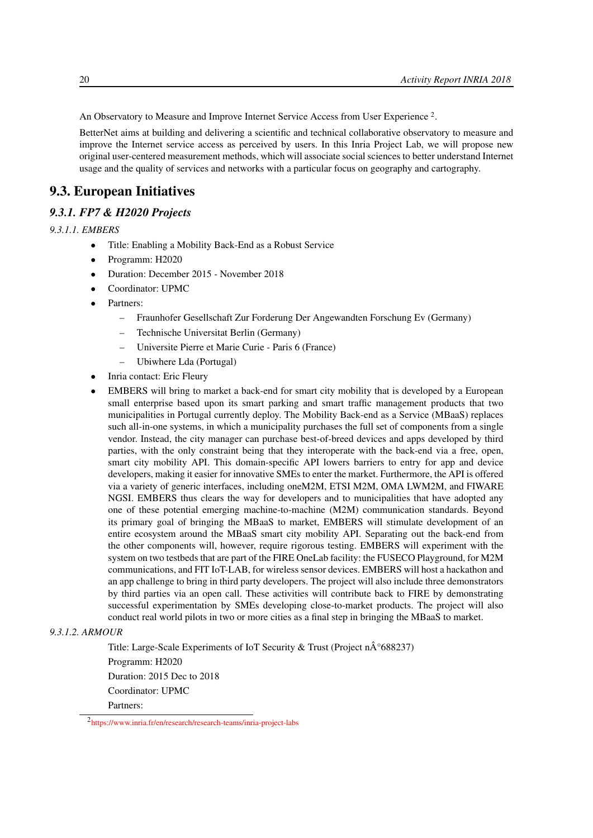An Observatory to Measure and Improve Internet Service Access from User Experience<sup>2</sup>.

BetterNet aims at building and delivering a scientific and technical collaborative observatory to measure and improve the Internet service access as perceived by users. In this Inria Project Lab, we will propose new original user-centered measurement methods, which will associate social sciences to better understand Internet usage and the quality of services and networks with a particular focus on geography and cartography.

# <span id="page-25-0"></span>9.3. European Initiatives

#### *9.3.1. FP7 & H2020 Projects*

*9.3.1.1. EMBERS*

- <span id="page-25-1"></span>• Title: Enabling a Mobility Back-End as a Robust Service
- Programm: H2020
- Duration: December 2015 November 2018
- Coordinator: UPMC
- Partners:
	- Fraunhofer Gesellschaft Zur Forderung Der Angewandten Forschung Ev (Germany)
	- Technische Universitat Berlin (Germany)
	- Universite Pierre et Marie Curie Paris 6 (France)
	- Ubiwhere Lda (Portugal)
- Inria contact: Eric Fleury
- EMBERS will bring to market a back-end for smart city mobility that is developed by a European small enterprise based upon its smart parking and smart traffic management products that two municipalities in Portugal currently deploy. The Mobility Back-end as a Service (MBaaS) replaces such all-in-one systems, in which a municipality purchases the full set of components from a single vendor. Instead, the city manager can purchase best-of-breed devices and apps developed by third parties, with the only constraint being that they interoperate with the back-end via a free, open, smart city mobility API. This domain-specific API lowers barriers to entry for app and device developers, making it easier for innovative SMEs to enter the market. Furthermore, the API is offered via a variety of generic interfaces, including oneM2M, ETSI M2M, OMA LWM2M, and FIWARE NGSI. EMBERS thus clears the way for developers and to municipalities that have adopted any one of these potential emerging machine-to-machine (M2M) communication standards. Beyond its primary goal of bringing the MBaaS to market, EMBERS will stimulate development of an entire ecosystem around the MBaaS smart city mobility API. Separating out the back-end from the other components will, however, require rigorous testing. EMBERS will experiment with the system on two testbeds that are part of the FIRE OneLab facility: the FUSECO Playground, for M2M communications, and FIT IoT-LAB, for wireless sensor devices. EMBERS will host a hackathon and an app challenge to bring in third party developers. The project will also include three demonstrators by third parties via an open call. These activities will contribute back to FIRE by demonstrating successful experimentation by SMEs developing close-to-market products. The project will also conduct real world pilots in two or more cities as a final step in bringing the MBaaS to market.

#### <span id="page-25-2"></span>*9.3.1.2. ARMOUR*

Title: Large-Scale Experiments of IoT Security & Trust (Project  $n\hat{A}^{\circ}688237$ ) Programm: H2020 Duration: 2015 Dec to 2018 Coordinator: UPMC

Partners:

<sup>2</sup> <https://www.inria.fr/en/research/research-teams/inria-project-labs>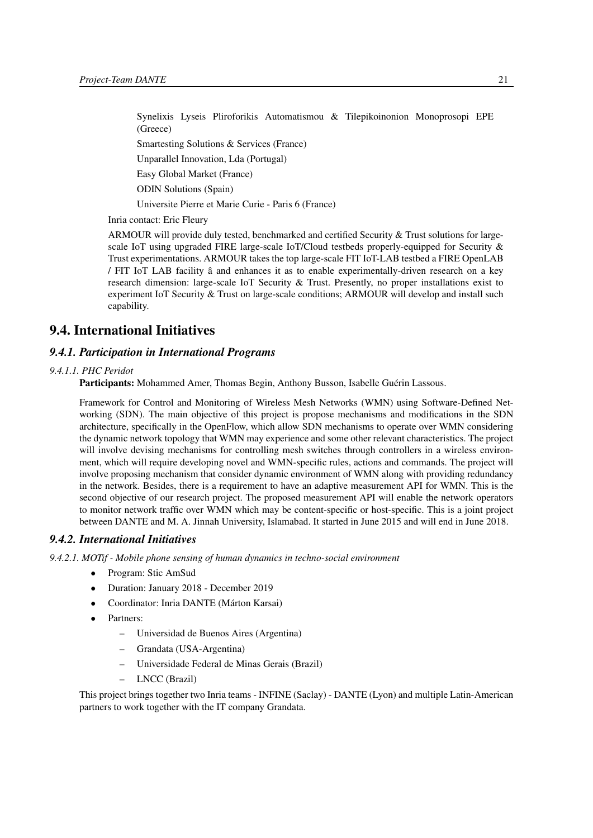Synelixis Lyseis Pliroforikis Automatismou & Tilepikoinonion Monoprosopi EPE (Greece)

Smartesting Solutions & Services (France)

Unparallel Innovation, Lda (Portugal)

Easy Global Market (France)

ODIN Solutions (Spain)

Universite Pierre et Marie Curie - Paris 6 (France)

Inria contact: Eric Fleury

ARMOUR will provide duly tested, benchmarked and certified Security & Trust solutions for largescale IoT using upgraded FIRE large-scale IoT/Cloud testbeds properly-equipped for Security & Trust experimentations. ARMOUR takes the top large-scale FIT IoT-LAB testbed a FIRE OpenLAB / FIT IoT LAB facility â and enhances it as to enable experimentally-driven research on a key research dimension: large-scale IoT Security & Trust. Presently, no proper installations exist to experiment IoT Security & Trust on large-scale conditions; ARMOUR will develop and install such capability.

## <span id="page-26-0"></span>9.4. International Initiatives

#### <span id="page-26-1"></span>*9.4.1. Participation in International Programs*

#### *9.4.1.1. PHC Peridot*

Participants: Mohammed Amer, Thomas Begin, Anthony Busson, Isabelle Guérin Lassous.

Framework for Control and Monitoring of Wireless Mesh Networks (WMN) using Software-Defined Networking (SDN). The main objective of this project is propose mechanisms and modifications in the SDN architecture, specifically in the OpenFlow, which allow SDN mechanisms to operate over WMN considering the dynamic network topology that WMN may experience and some other relevant characteristics. The project will involve devising mechanisms for controlling mesh switches through controllers in a wireless environment, which will require developing novel and WMN-specific rules, actions and commands. The project will involve proposing mechanism that consider dynamic environment of WMN along with providing redundancy in the network. Besides, there is a requirement to have an adaptive measurement API for WMN. This is the second objective of our research project. The proposed measurement API will enable the network operators to monitor network traffic over WMN which may be content-specific or host-specific. This is a joint project between DANTE and M. A. Jinnah University, Islamabad. It started in June 2015 and will end in June 2018.

#### <span id="page-26-2"></span>*9.4.2. International Initiatives*

*9.4.2.1. MOTif - Mobile phone sensing of human dynamics in techno-social environment*

- Program: Stic AmSud
- Duration: January 2018 December 2019
- Coordinator: Inria DANTE (Márton Karsai)
- Partners:
	- Universidad de Buenos Aires (Argentina)
	- Grandata (USA-Argentina)
	- Universidade Federal de Minas Gerais (Brazil)
	- LNCC (Brazil)

This project brings together two Inria teams - INFINE (Saclay) - DANTE (Lyon) and multiple Latin-American partners to work together with the IT company Grandata.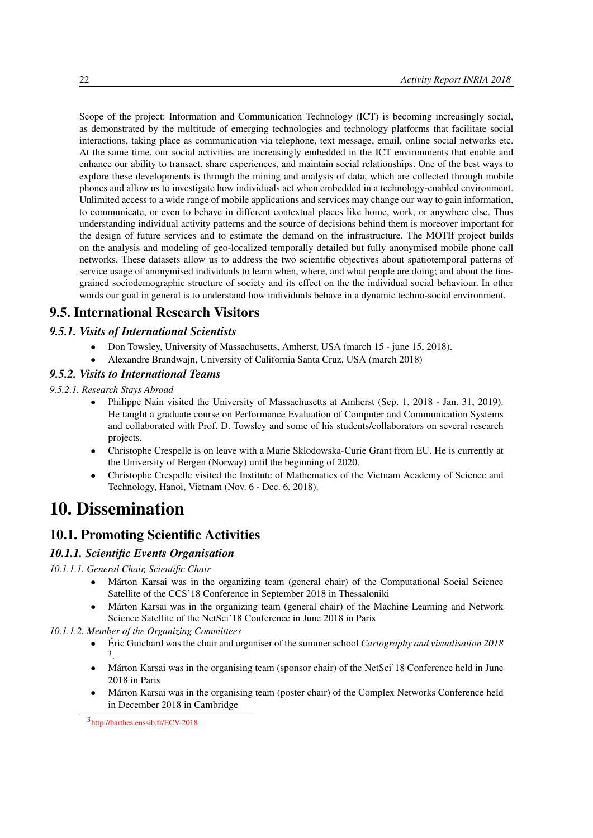Scope of the project: Information and Communication Technology (ICT) is becoming increasingly social, as demonstrated by the multitude of emerging technologies and technology platforms that facilitate social interactions, taking place as communication via telephone, text message, email, online social networks etc. At the same time, our social activities are increasingly embedded in the ICT environments that enable and enhance our ability to transact, share experiences, and maintain social relationships. One of the best ways to explore these developments is through the mining and analysis of data, which are collected through mobile phones and allow us to investigate how individuals act when embedded in a technology-enabled environment. Unlimited access to a wide range of mobile applications and services may change our way to gain information, to communicate, or even to behave in different contextual places like home, work, or anywhere else. Thus understanding individual activity patterns and the source of decisions behind them is moreover important for the design of future services and to estimate the demand on the infrastructure. The MOTIf project builds on the analysis and modeling of geo-localized temporally detailed but fully anonymised mobile phone call networks. These datasets allow us to address the two scientific objectives about spatiotemporal patterns of service usage of anonymised individuals to learn when, where, and what people are doing; and about the finegrained sociodemographic structure of society and its effect on the the individual social behaviour. In other words our goal in general is to understand how individuals behave in a dynamic techno-social environment.

# <span id="page-27-0"></span>9.5. International Research Visitors

#### *9.5.1. Visits of International Scientists*

- <span id="page-27-2"></span><span id="page-27-1"></span>• Don Towsley, University of Massachusetts, Amherst, USA (march 15 - june 15, 2018).
	- Alexandre Brandwajn, University of California Santa Cruz, USA (march 2018)

#### *9.5.2. Visits to International Teams*

*9.5.2.1. Research Stays Abroad*

- Philippe Nain visited the University of Massachusetts at Amherst (Sep. 1, 2018 Jan. 31, 2019). He taught a graduate course on Performance Evaluation of Computer and Communication Systems and collaborated with Prof. D. Towsley and some of his students/collaborators on several research projects.
- Christophe Crespelle is on leave with a Marie Sklodowska-Curie Grant from EU. He is currently at the University of Bergen (Norway) until the beginning of 2020.
- <span id="page-27-3"></span>• Christophe Crespelle visited the Institute of Mathematics of the Vietnam Academy of Science and Technology, Hanoi, Vietnam (Nov. 6 - Dec. 6, 2018).

# 10. Dissemination

# <span id="page-27-4"></span>10.1. Promoting Scientific Activities

#### <span id="page-27-5"></span>*10.1.1. Scientific Events Organisation*

*10.1.1.1. General Chair, Scientific Chair*

- <span id="page-27-6"></span>• Márton Karsai was in the organizing team (general chair) of the Computational Social Science Satellite of the CCS'18 Conference in September 2018 in Thessaloniki
- <span id="page-27-7"></span>• Márton Karsai was in the organizing team (general chair) of the Machine Learning and Network Science Satellite of the NetSci'18 Conference in June 2018 in Paris
- *10.1.1.2. Member of the Organizing Committees*
	- Éric Guichard was the chair and organiser of the summer school *Cartography and visualisation 2018* 3 .
	- Márton Karsai was in the organising team (sponsor chair) of the NetSci'l 8 Conference held in June 2018 in Paris
	- Márton Karsai was in the organising team (poster chair) of the Complex Networks Conference held in December 2018 in Cambridge

3 <http://barthes.enssib.fr/ECV-2018>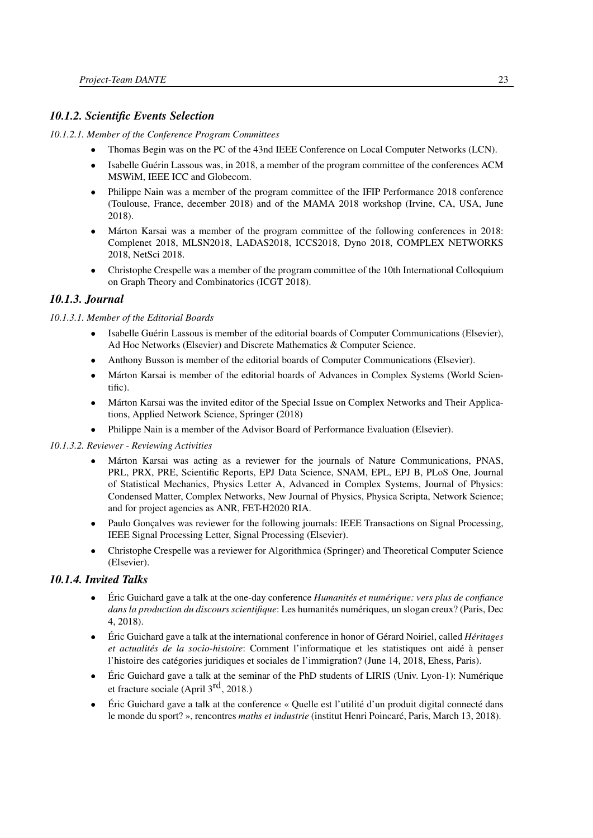# <span id="page-28-0"></span>*10.1.2. Scientific Events Selection*

#### *10.1.2.1. Member of the Conference Program Committees*

- Thomas Begin was on the PC of the 43nd IEEE Conference on Local Computer Networks (LCN).
- Isabelle Guérin Lassous was, in 2018, a member of the program committee of the conferences ACM MSWiM, IEEE ICC and Globecom.
- Philippe Nain was a member of the program committee of the IFIP Performance 2018 conference (Toulouse, France, december 2018) and of the MAMA 2018 workshop (Irvine, CA, USA, June 2018).
- Márton Karsai was a member of the program committee of the following conferences in 2018: Complenet 2018, MLSN2018, LADAS2018, ICCS2018, Dyno 2018, COMPLEX NETWORKS 2018, NetSci 2018.
- <span id="page-28-1"></span>• Christophe Crespelle was a member of the program committee of the 10th International Colloquium on Graph Theory and Combinatorics (ICGT 2018).

# *10.1.3. Journal*

#### *10.1.3.1. Member of the Editorial Boards*

- <span id="page-28-2"></span>• Isabelle Guérin Lassous is member of the editorial boards of Computer Communications (Elsevier), Ad Hoc Networks (Elsevier) and Discrete Mathematics & Computer Science.
- Anthony Busson is member of the editorial boards of Computer Communications (Elsevier).
- Márton Karsai is member of the editorial boards of Advances in Complex Systems (World Scientific).
- Márton Karsai was the invited editor of the Special Issue on Complex Networks and Their Applications, Applied Network Science, Springer (2018)
- <span id="page-28-3"></span>• Philippe Nain is a member of the Advisor Board of Performance Evaluation (Elsevier).

#### *10.1.3.2. Reviewer - Reviewing Activities*

- Márton Karsai was acting as a reviewer for the journals of Nature Communications, PNAS, PRL, PRX, PRE, Scientific Reports, EPJ Data Science, SNAM, EPL, EPJ B, PLoS One, Journal of Statistical Mechanics, Physics Letter A, Advanced in Complex Systems, Journal of Physics: Condensed Matter, Complex Networks, New Journal of Physics, Physica Scripta, Network Science; and for project agencies as ANR, FET-H2020 RIA.
- Paulo Gonçalves was reviewer for the following journals: IEEE Transactions on Signal Processing, IEEE Signal Processing Letter, Signal Processing (Elsevier).
- Christophe Crespelle was a reviewer for Algorithmica (Springer) and Theoretical Computer Science (Elsevier).

# *10.1.4. Invited Talks*

- <span id="page-28-4"></span>• Éric Guichard gave a talk at the one-day conference *Humanités et numérique: vers plus de confiance dans la production du discours scientifique*: Les humanités numériques, un slogan creux? (Paris, Dec 4, 2018).
- Éric Guichard gave a talk at the international conference in honor of Gérard Noiriel, called *Héritages et actualités de la socio-histoire*: Comment l'informatique et les statistiques ont aidé à penser l'histoire des catégories juridiques et sociales de l'immigration? (June 14, 2018, Ehess, Paris).
- Éric Guichard gave a talk at the seminar of the PhD students of LIRIS (Univ. Lyon-1): Numérique et fracture sociale (April 3rd, 2018.)
- Éric Guichard gave a talk at the conference « Quelle est l'utilité d'un produit digital connecté dans le monde du sport? », rencontres *maths et industrie* (institut Henri Poincaré, Paris, March 13, 2018).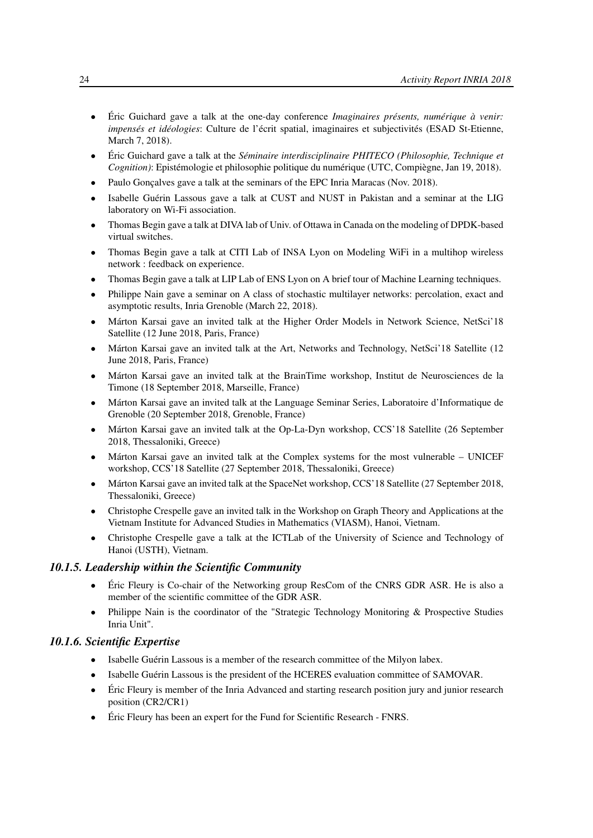- Éric Guichard gave a talk at the one-day conference *Imaginaires présents, numérique à venir: impensés et idéologies*: Culture de l'écrit spatial, imaginaires et subjectivités (ESAD St-Etienne, March 7, 2018).
- Éric Guichard gave a talk at the *Séminaire interdisciplinaire PHITECO (Philosophie, Technique et Cognition)*: Epistémologie et philosophie politique du numérique (UTC, Compiègne, Jan 19, 2018).
- Paulo Goncalves gave a talk at the seminars of the EPC Inria Maracas (Nov. 2018).
- Isabelle Guérin Lassous gave a talk at CUST and NUST in Pakistan and a seminar at the LIG laboratory on Wi-Fi association.
- Thomas Begin gave a talk at DIVA lab of Univ. of Ottawa in Canada on the modeling of DPDK-based virtual switches.
- Thomas Begin gave a talk at CITI Lab of INSA Lyon on Modeling WiFi in a multihop wireless network : feedback on experience.
- Thomas Begin gave a talk at LIP Lab of ENS Lyon on A brief tour of Machine Learning techniques.
- Philippe Nain gave a seminar on A class of stochastic multilayer networks: percolation, exact and asymptotic results, Inria Grenoble (March 22, 2018).
- Márton Karsai gave an invited talk at the Higher Order Models in Network Science, NetSci'18 Satellite (12 June 2018, Paris, France)
- Márton Karsai gave an invited talk at the Art, Networks and Technology, NetSci'18 Satellite (12 June 2018, Paris, France)
- Márton Karsai gave an invited talk at the BrainTime workshop, Institut de Neurosciences de la Timone (18 September 2018, Marseille, France)
- Márton Karsai gave an invited talk at the Language Seminar Series, Laboratoire d'Informatique de Grenoble (20 September 2018, Grenoble, France)
- Márton Karsai gave an invited talk at the Op-La-Dyn workshop, CCS'18 Satellite (26 September 2018, Thessaloniki, Greece)
- Márton Karsai gave an invited talk at the Complex systems for the most vulnerable UNICEF workshop, CCS'18 Satellite (27 September 2018, Thessaloniki, Greece)
- Márton Karsai gave an invited talk at the SpaceNet workshop, CCS'18 Satellite (27 September 2018, Thessaloniki, Greece)
- Christophe Crespelle gave an invited talk in the Workshop on Graph Theory and Applications at the Vietnam Institute for Advanced Studies in Mathematics (VIASM), Hanoi, Vietnam.
- Christophe Crespelle gave a talk at the ICTLab of the University of Science and Technology of Hanoi (USTH), Vietnam.

#### *10.1.5. Leadership within the Scientific Community*

- <span id="page-29-0"></span>• Éric Fleury is Co-chair of the Networking group ResCom of the CNRS GDR ASR. He is also a member of the scientific committee of the GDR ASR.
- Philippe Nain is the coordinator of the "Strategic Technology Monitoring & Prospective Studies Inria Unit".

#### *10.1.6. Scientific Expertise*

- <span id="page-29-1"></span>• Isabelle Guérin Lassous is a member of the research committee of the Milyon labex.
- Isabelle Guérin Lassous is the president of the HCERES evaluation committee of SAMOVAR.
- Éric Fleury is member of the Inria Advanced and starting research position jury and junior research position (CR2/CR1)
- Éric Fleury has been an expert for the Fund for Scientific Research FNRS.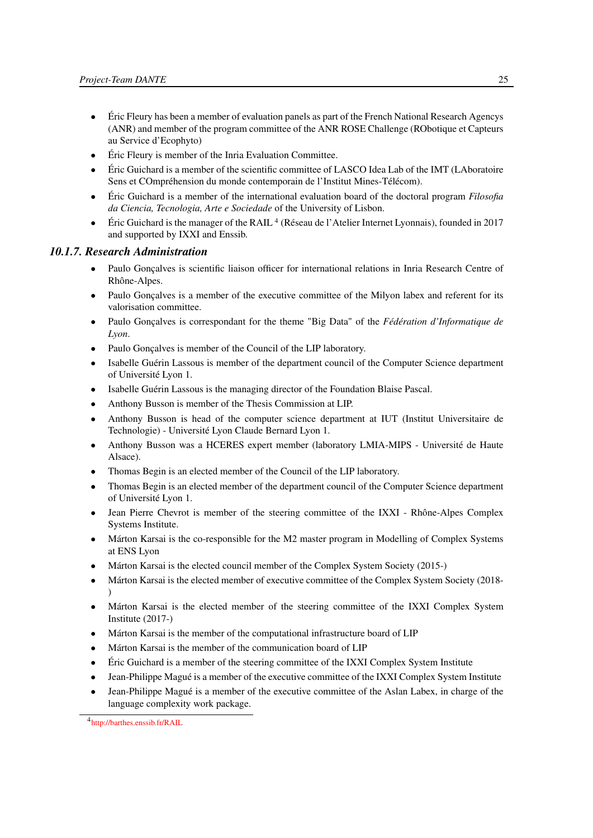- Éric Fleury has been a member of evaluation panels as part of the French National Research Agencys (ANR) and member of the program committee of the ANR ROSE Challenge (RObotique et Capteurs au Service d'Ecophyto)
- Éric Fleury is member of the Inria Evaluation Committee.
- Éric Guichard is a member of the scientific committee of LASCO Idea Lab of the IMT (LAboratoire Sens et COmpréhension du monde contemporain de l'Institut Mines-Télécom).
- Éric Guichard is a member of the international evaluation board of the doctoral program *Filosofia da Ciencia, Tecnologia, Arte e Sociedade* of the University of Lisbon.
- Éric Guichard is the manager of the RAIL<sup>4</sup> (Réseau de l'Atelier Internet Lyonnais), founded in 2017 and supported by IXXI and Enssib.

#### *10.1.7. Research Administration*

- <span id="page-30-0"></span>• Paulo Gonçalves is scientific liaison officer for international relations in Inria Research Centre of Rhône-Alpes.
- Paulo Gonçalves is a member of the executive committee of the Milyon labex and referent for its valorisation committee.
- Paulo Gonçalves is correspondant for the theme "Big Data" of the *Fédération d'Informatique de Lyon*.
- Paulo Gonçalves is member of the Council of the LIP laboratory.
- Isabelle Guérin Lassous is member of the department council of the Computer Science department of Université Lyon 1.
- Isabelle Guérin Lassous is the managing director of the Foundation Blaise Pascal.
- Anthony Busson is member of the Thesis Commission at LIP.
- Anthony Busson is head of the computer science department at IUT (Institut Universitaire de Technologie) - Université Lyon Claude Bernard Lyon 1.
- Anthony Busson was a HCERES expert member (laboratory LMIA-MIPS Université de Haute Alsace).
- Thomas Begin is an elected member of the Council of the LIP laboratory.
- Thomas Begin is an elected member of the department council of the Computer Science department of Université Lyon 1.
- Jean Pierre Chevrot is member of the steering committee of the IXXI Rhône-Alpes Complex Systems Institute.
- Márton Karsai is the co-responsible for the M2 master program in Modelling of Complex Systems at ENS Lyon
- Márton Karsai is the elected council member of the Complex System Society (2015-)
- Márton Karsai is the elected member of executive committee of the Complex System Society (2018- )
- Márton Karsai is the elected member of the steering committee of the IXXI Complex System Institute (2017-)
- Márton Karsai is the member of the computational infrastructure board of LIP
- Márton Karsai is the member of the communication board of LIP
- Éric Guichard is a member of the steering committee of the IXXI Complex System Institute
- Jean-Philippe Magué is a member of the executive committee of the IXXI Complex System Institute
- Jean-Philippe Magué is a member of the executive committee of the Aslan Labex, in charge of the language complexity work package.

<sup>4</sup> <http://barthes.enssib.fr/RAIL>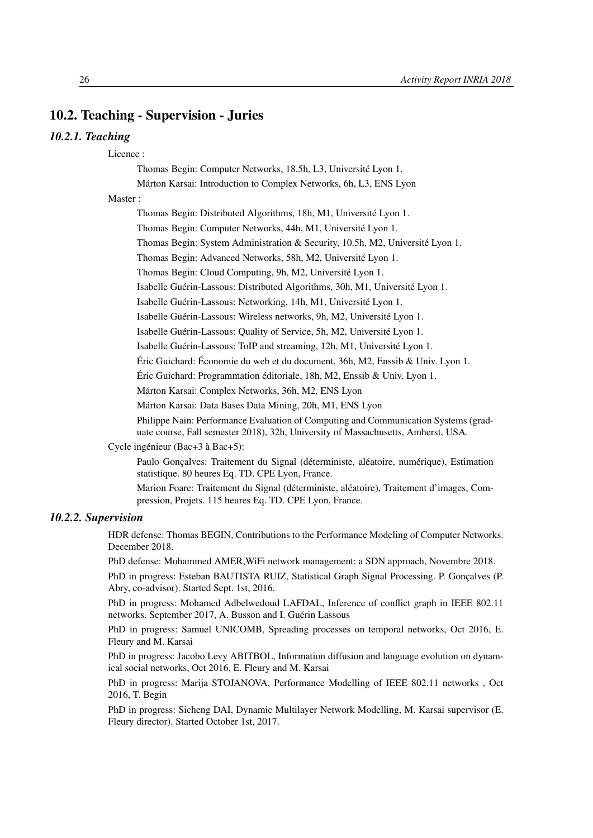# <span id="page-31-0"></span>10.2. Teaching - Supervision - Juries

#### <span id="page-31-1"></span>*10.2.1. Teaching*

Licence :

Thomas Begin: Computer Networks, 18.5h, L3, Université Lyon 1.

Márton Karsai: Introduction to Complex Networks, 6h, L3, ENS Lyon

Master :

Thomas Begin: Distributed Algorithms, 18h, M1, Université Lyon 1.

Thomas Begin: Computer Networks, 44h, M1, Université Lyon 1.

Thomas Begin: System Administration & Security, 10.5h, M2, Université Lyon 1.

Thomas Begin: Advanced Networks, 58h, M2, Université Lyon 1.

Thomas Begin: Cloud Computing, 9h, M2, Université Lyon 1.

Isabelle Guérin-Lassous: Distributed Algorithms, 30h, M1, Université Lyon 1.

Isabelle Guérin-Lassous: Networking, 14h, M1, Université Lyon 1.

Isabelle Guérin-Lassous: Wireless networks, 9h, M2, Université Lyon 1.

Isabelle Guérin-Lassous: Quality of Service, 5h, M2, Université Lyon 1.

Isabelle Guérin-Lassous: ToIP and streaming, 12h, M1, Université Lyon 1.

Éric Guichard: Économie du web et du document, 36h, M2, Enssib & Univ. Lyon 1.

Éric Guichard: Programmation éditoriale, 18h, M2, Enssib & Univ. Lyon 1.

Márton Karsai: Complex Networks, 36h, M2, ENS Lyon

Márton Karsai: Data Bases Data Mining, 20h, M1, ENS Lyon

Philippe Nain: Performance Evaluation of Computing and Communication Systems (graduate course, Fall semester 2018), 32h, University of Massachusetts, Amherst, USA.

Cycle ingénieur (Bac+3 à Bac+5):

Paulo Gonçalves: Traitement du Signal (déterministe, aléatoire, numérique), Estimation statistique. 80 heures Eq. TD. CPE Lyon, France.

Marion Foare: Traitement du Signal (déterministe, aléatoire), Traitement d'images, Compression, Projets. 115 heures Eq. TD. CPE Lyon, France.

#### <span id="page-31-2"></span>*10.2.2. Supervision*

HDR defense: Thomas BEGIN, Contributions to the Performance Modeling of Computer Networks. December 2018.

PhD defense: Mohammed AMER,WiFi network management: a SDN approach, Novembre 2018.

PhD in progress: Esteban BAUTISTA RUIZ, Statistical Graph Signal Processing. P. Gonçalves (P. Abry, co-advisor). Started Sept. 1st, 2016.

PhD in progress: Mohamed Adbelwedoud LAFDAL, Inference of conflict graph in IEEE 802.11 networks. September 2017, A. Busson and I. Guérin Lassous

PhD in progress: Samuel UNICOMB, Spreading processes on temporal networks, Oct 2016, E. Fleury and M. Karsai

PhD in progress: Jacobo Levy ABITBOL, Information diffusion and language evolution on dynamical social networks, Oct 2016, E. Fleury and M. Karsai

PhD in progress: Marija STOJANOVA, Performance Modelling of IEEE 802.11 networks , Oct 2016, T. Begin

PhD in progress: Sicheng DAI, Dynamic Multilayer Network Modelling, M. Karsai supervisor (E. Fleury director). Started October 1st, 2017.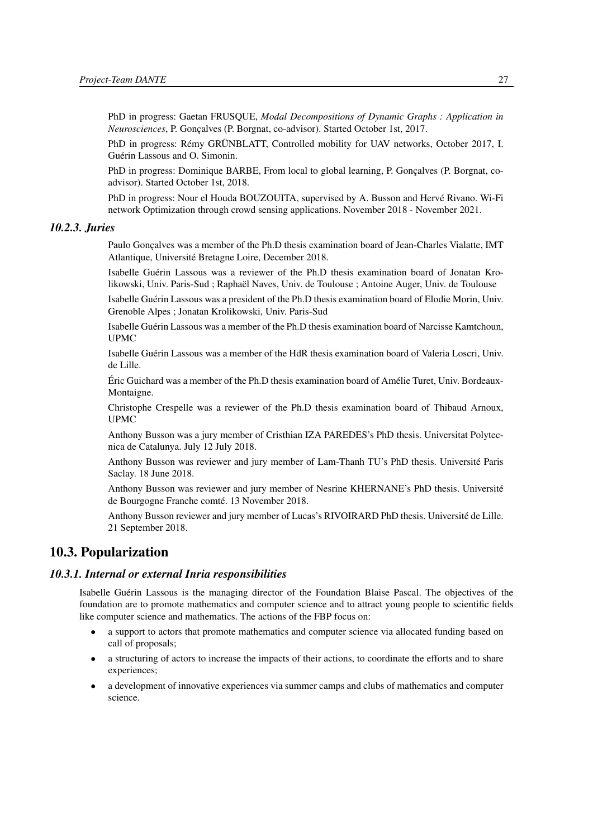PhD in progress: Gaetan FRUSQUE, *Modal Decompositions of Dynamic Graphs : Application in Neurosciences*, P. Gonçalves (P. Borgnat, co-advisor). Started October 1st, 2017.

PhD in progress: Rémy GRÜNBLATT, Controlled mobility for UAV networks, October 2017, I. Guérin Lassous and O. Simonin.

PhD in progress: Dominique BARBE, From local to global learning, P. Gonçalves (P. Borgnat, coadvisor). Started October 1st, 2018.

PhD in progress: Nour el Houda BOUZOUITA, supervised by A. Busson and Hervé Rivano. Wi-Fi network Optimization through crowd sensing applications. November 2018 - November 2021.

#### <span id="page-32-0"></span>*10.2.3. Juries*

Paulo Gonçalves was a member of the Ph.D thesis examination board of Jean-Charles Vialatte, IMT Atlantique, Université Bretagne Loire, December 2018.

Isabelle Guérin Lassous was a reviewer of the Ph.D thesis examination board of Jonatan Krolikowski, Univ. Paris-Sud ; Raphaël Naves, Univ. de Toulouse ; Antoine Auger, Univ. de Toulouse

Isabelle Guérin Lassous was a president of the Ph.D thesis examination board of Elodie Morin, Univ. Grenoble Alpes ; Jonatan Krolikowski, Univ. Paris-Sud

Isabelle Guérin Lassous was a member of the Ph.D thesis examination board of Narcisse Kamtchoun, UPMC

Isabelle Guérin Lassous was a member of the HdR thesis examination board of Valeria Loscri, Univ. de Lille.

Éric Guichard was a member of the Ph.D thesis examination board of Amélie Turet, Univ. Bordeaux-Montaigne.

Christophe Crespelle was a reviewer of the Ph.D thesis examination board of Thibaud Arnoux, UPMC

Anthony Busson was a jury member of Cristhian IZA PAREDES's PhD thesis. Universitat Polytecnica de Catalunya. July 12 July 2018.

Anthony Busson was reviewer and jury member of Lam-Thanh TU's PhD thesis. Université Paris Saclay. 18 June 2018.

Anthony Busson was reviewer and jury member of Nesrine KHERNANE's PhD thesis. Université de Bourgogne Franche comté. 13 November 2018.

Anthony Busson reviewer and jury member of Lucas's RIVOIRARD PhD thesis. Université de Lille. 21 September 2018.

# <span id="page-32-1"></span>10.3. Popularization

#### *10.3.1. Internal or external Inria responsibilities*

<span id="page-32-2"></span>Isabelle Guérin Lassous is the managing director of the Foundation Blaise Pascal. The objectives of the foundation are to promote mathematics and computer science and to attract young people to scientific fields like computer science and mathematics. The actions of the FBP focus on:

- a support to actors that promote mathematics and computer science via allocated funding based on call of proposals;
- a structuring of actors to increase the impacts of their actions, to coordinate the efforts and to share experiences;
- a development of innovative experiences via summer camps and clubs of mathematics and computer science.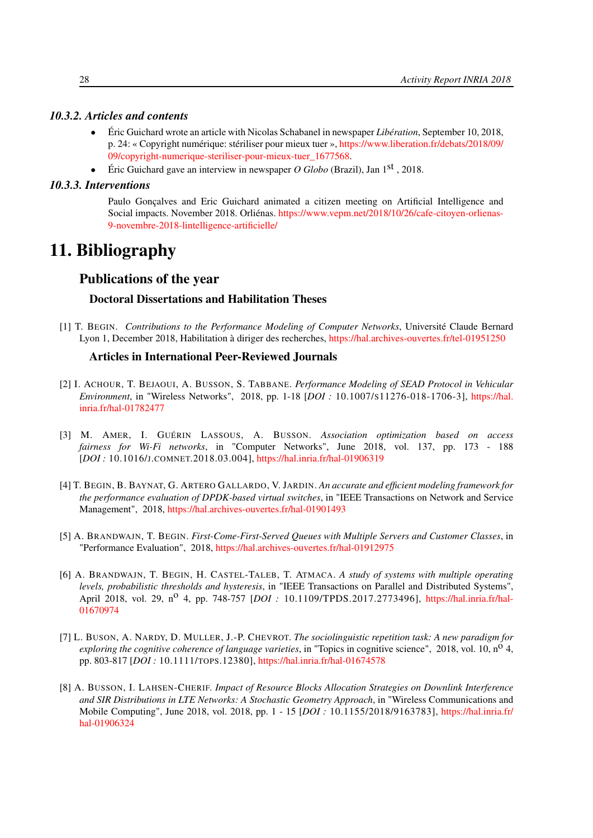#### *10.3.2. Articles and contents*

- <span id="page-33-0"></span>• Éric Guichard wrote an article with Nicolas Schabanel in newspaper *Libération*, September 10, 2018, p. 24: « Copyright numérique: stériliser pour mieux tuer », [https://www.liberation.fr/debats/2018/09/](https://www.liberation.fr/debats/2018/09/09/copyright-numerique-steriliser-pour-mieux-tuer_1677568) [09/copyright-numerique-steriliser-pour-mieux-tuer\\_1677568.](https://www.liberation.fr/debats/2018/09/09/copyright-numerique-steriliser-pour-mieux-tuer_1677568)
- <span id="page-33-1"></span>• Éric Guichard gave an interview in newspaper *O Globo* (Brazil), Jan 1st , 2018.

#### *10.3.3. Interventions*

Paulo Gonçalves and Eric Guichard animated a citizen meeting on Artificial Intelligence and Social impacts. November 2018. Orliénas. [https://www.vepm.net/2018/10/26/cafe-citoyen-orlienas-](https://www.vepm.net/2018/10/26/cafe-citoyen-orlienas-9-novembre-2018-lintelligence-artificielle/)[9-novembre-2018-lintelligence-artificielle/](https://www.vepm.net/2018/10/26/cafe-citoyen-orlienas-9-novembre-2018-lintelligence-artificielle/)

# <span id="page-33-2"></span>11. Bibliography

# Publications of the year

#### Doctoral Dissertations and Habilitation Theses

[1] T. BEGIN. *Contributions to the Performance Modeling of Computer Networks*, Université Claude Bernard Lyon 1, December 2018, Habilitation à diriger des recherches, <https://hal.archives-ouvertes.fr/tel-01951250>

#### Articles in International Peer-Reviewed Journals

- [2] I. ACHOUR, T. BEJAOUI, A. BUSSON, S. TABBANE. *Performance Modeling of SEAD Protocol in Vehicular Environment*, in "Wireless Networks", 2018, pp. 1-18 [*DOI :* 10.1007/S11276-018-1706-3], [https://hal.](https://hal.inria.fr/hal-01782477) [inria.fr/hal-01782477](https://hal.inria.fr/hal-01782477)
- <span id="page-33-4"></span>[3] M. AMER, I. GUÉRIN LASSOUS, A. BUSSON. *Association optimization based on access fairness for Wi-Fi networks*, in "Computer Networks", June 2018, vol. 137, pp. 173 - 188 [*DOI :* 10.1016/J.COMNET.2018.03.004], <https://hal.inria.fr/hal-01906319>
- <span id="page-33-3"></span>[4] T. BEGIN, B. BAYNAT, G. ARTERO GALLARDO, V. JARDIN. *An accurate and efficient modeling framework for the performance evaluation of DPDK-based virtual switches*, in "IEEE Transactions on Network and Service Management", 2018, <https://hal.archives-ouvertes.fr/hal-01901493>
- <span id="page-33-5"></span>[5] A. BRANDWAJN, T. BEGIN. *First-Come-First-Served Queues with Multiple Servers and Customer Classes*, in "Performance Evaluation", 2018, <https://hal.archives-ouvertes.fr/hal-01912975>
- <span id="page-33-6"></span>[6] A. BRANDWAJN, T. BEGIN, H. CASTEL-TALEB, T. ATMACA. *A study of systems with multiple operating levels, probabilistic thresholds and hysteresis*, in "IEEE Transactions on Parallel and Distributed Systems", April 2018, vol. 29, no 4, pp. 748-757 [*DOI :* 10.1109/TPDS.2017.2773496], [https://hal.inria.fr/hal-](https://hal.inria.fr/hal-01670974)[01670974](https://hal.inria.fr/hal-01670974)
- [7] L. BUSON, A. NARDY, D. MULLER, J.-P. CHEVROT. *The sociolinguistic repetition task: A new paradigm for exploring the cognitive coherence of language varieties*, in "Topics in cognitive science", 2018, vol. 10, n<sup>o</sup> 4, pp. 803-817 [*DOI :* 10.1111/TOPS.12380], <https://hal.inria.fr/hal-01674578>
- [8] A. BUSSON, I. LAHSEN-CHERIF. *Impact of Resource Blocks Allocation Strategies on Downlink Interference and SIR Distributions in LTE Networks: A Stochastic Geometry Approach*, in "Wireless Communications and Mobile Computing", June 2018, vol. 2018, pp. 1 - 15 [*DOI :* 10.1155/2018/9163783], [https://hal.inria.fr/](https://hal.inria.fr/hal-01906324) [hal-01906324](https://hal.inria.fr/hal-01906324)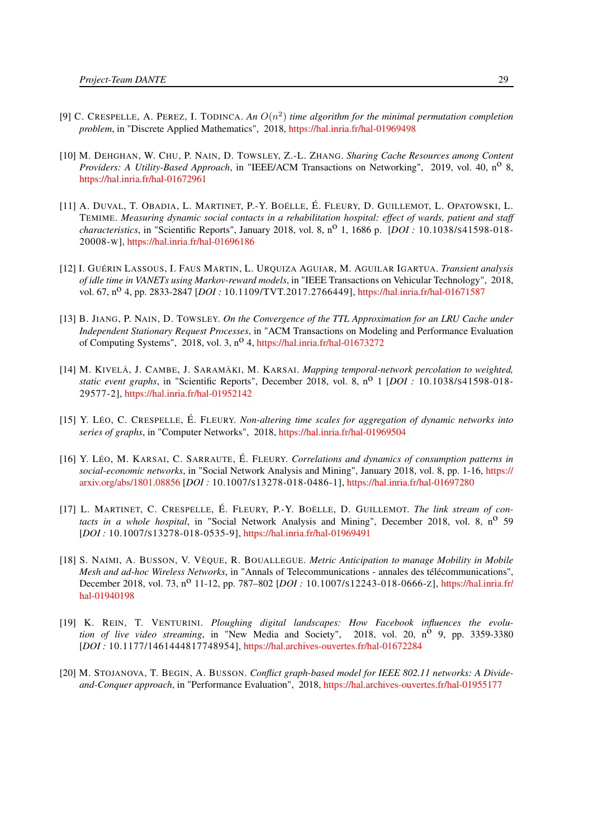- [9] C. CRESPELLE, A. PEREZ, I. TODINCA. An  $O(n^2)$  time algorithm for the minimal permutation completion *problem*, in "Discrete Applied Mathematics", 2018, <https://hal.inria.fr/hal-01969498>
- [10] M. DEHGHAN, W. CHU, P. NAIN, D. TOWSLEY, Z.-L. ZHANG. *Sharing Cache Resources among Content Providers: A Utility-Based Approach*, in "IEEE/ACM Transactions on Networking", 2019, vol. 40, no 8, <https://hal.inria.fr/hal-01672961>
- [11] A. DUVAL, T. OBADIA, L. MARTINET, P.-Y. BOËLLE, É. FLEURY, D. GUILLEMOT, L. OPATOWSKI, L. TEMIME. *Measuring dynamic social contacts in a rehabilitation hospital: effect of wards, patient and staff characteristics*, in "Scientific Reports", January 2018, vol. 8, n<sup>o</sup> 1, 1686 p. [*DOI* : 10.1038/s41598-018-20008-W], <https://hal.inria.fr/hal-01696186>
- <span id="page-34-1"></span>[12] I. GUÉRIN LASSOUS, I. FAUS MARTIN, L. URQUIZA AGUIAR, M. AGUILAR IGARTUA. *Transient analysis of idle time in VANETs using Markov-reward models*, in "IEEE Transactions on Vehicular Technology", 2018, vol. 67, n<sup>o</sup> 4, pp. 2833-2847 [*DOI*: 10.1109/TVT.2017.2766449], <https://hal.inria.fr/hal-01671587>
- <span id="page-34-2"></span>[13] B. JIANG, P. NAIN, D. TOWSLEY. *On the Convergence of the TTL Approximation for an LRU Cache under Independent Stationary Request Processes*, in "ACM Transactions on Modeling and Performance Evaluation of Computing Systems", 2018, vol. 3, n<sup>o</sup> 4, <https://hal.inria.fr/hal-01673272>
- <span id="page-34-4"></span>[14] M. KIVELÄ, J. CAMBE, J. SARAMÄKI, M. KARSAI. *Mapping temporal-network percolation to weighted, static event graphs*, in "Scientific Reports", December 2018, vol. 8, nº 1 [DOI : 10.1038/s41598-018-29577-2], <https://hal.inria.fr/hal-01952142>
- [15] Y. LÉO, C. CRESPELLE, É. FLEURY. *Non-altering time scales for aggregation of dynamic networks into series of graphs*, in "Computer Networks", 2018, <https://hal.inria.fr/hal-01969504>
- <span id="page-34-3"></span>[16] Y. LÉO, M. KARSAI, C. SARRAUTE, É. FLEURY. *Correlations and dynamics of consumption patterns in social-economic networks*, in "Social Network Analysis and Mining", January 2018, vol. 8, pp. 1-16, [https://](https://arxiv.org/abs/1801.08856) [arxiv.org/abs/1801.08856](https://arxiv.org/abs/1801.08856) [*DOI :* 10.1007/S13278-018-0486-1], <https://hal.inria.fr/hal-01697280>
- [17] L. MARTINET, C. CRESPELLE, É. FLEURY, P.-Y. BOËLLE, D. GUILLEMOT. *The link stream of contacts in a whole hospital*, in "Social Network Analysis and Mining", December 2018, vol. 8, n<sup>o</sup> 59 [*DOI :* 10.1007/S13278-018-0535-9], <https://hal.inria.fr/hal-01969491>
- [18] S. NAIMI, A. BUSSON, V. VÈQUE, R. BOUALLEGUE. *Metric Anticipation to manage Mobility in Mobile Mesh and ad-hoc Wireless Networks*, in "Annals of Telecommunications - annales des télécommunications", December 2018, vol. 73, n<sup>o</sup> 11-12, pp. 787–802 [*DOI*: 10.1007/s12243-018-0666-z], [https://hal.inria.fr/](https://hal.inria.fr/hal-01940198) [hal-01940198](https://hal.inria.fr/hal-01940198)
- [19] K. REIN, T. VENTURINI. *Ploughing digital landscapes: How Facebook influences the evolution of live video streaming*, in "New Media and Society", 2018, vol. 20, n<sup>o</sup> 9, pp. 3359-3380 [*DOI :* 10.1177/1461444817748954], <https://hal.archives-ouvertes.fr/hal-01672284>
- <span id="page-34-5"></span><span id="page-34-0"></span>[20] M. STOJANOVA, T. BEGIN, A. BUSSON. *Conflict graph-based model for IEEE 802.11 networks: A Divideand-Conquer approach*, in "Performance Evaluation", 2018, <https://hal.archives-ouvertes.fr/hal-01955177>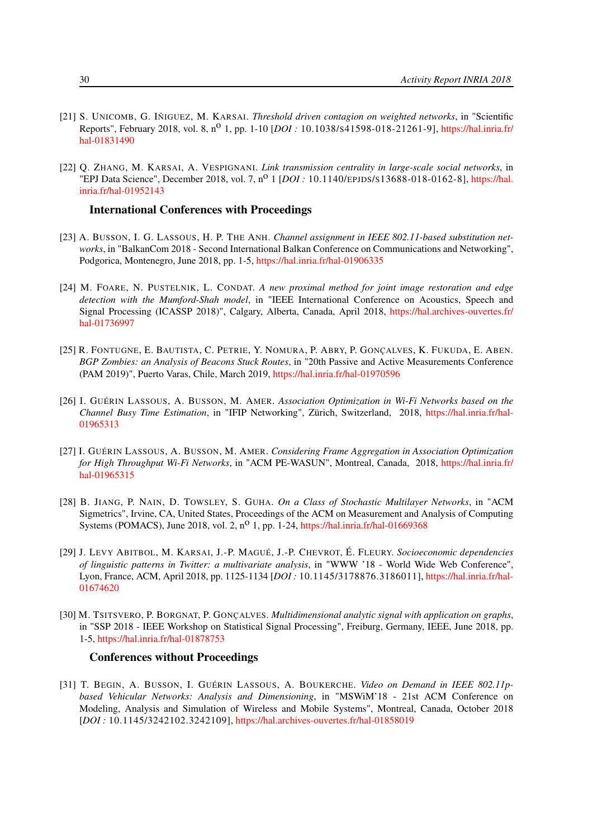- [21] S. UNICOMB, G. IÑIGUEZ, M. KARSAI. *Threshold driven contagion on weighted networks*, in "Scientific Reports", February 2018, vol. 8, n<sup>o</sup> 1, pp. 1-10 [*DOI* : 10.1038/s41598-018-21261-9], [https://hal.inria.fr/](https://hal.inria.fr/hal-01831490) [hal-01831490](https://hal.inria.fr/hal-01831490)
- <span id="page-35-6"></span>[22] Q. ZHANG, M. KARSAI, A. VESPIGNANI. *Link transmission centrality in large-scale social networks*, in "EPJ Data Science", December 2018, vol. 7, n<sup>o</sup> 1 [*DOI* : 10.1140/EPJDS/S13688-018-0162-8], [https://hal.](https://hal.inria.fr/hal-01952143) [inria.fr/hal-01952143](https://hal.inria.fr/hal-01952143)

#### International Conferences with Proceedings

- [23] A. BUSSON, I. G. LASSOUS, H. P. THE ANH. *Channel assignment in IEEE 802.11-based substitution networks*, in "BalkanCom 2018 - Second International Balkan Conference on Communications and Networking", Podgorica, Montenegro, June 2018, pp. 1-5, <https://hal.inria.fr/hal-01906335>
- <span id="page-35-2"></span>[24] M. FOARE, N. PUSTELNIK, L. CONDAT. *A new proximal method for joint image restoration and edge detection with the Mumford-Shah model*, in "IEEE International Conference on Acoustics, Speech and Signal Processing (ICASSP 2018)", Calgary, Alberta, Canada, April 2018, [https://hal.archives-ouvertes.fr/](https://hal.archives-ouvertes.fr/hal-01736997) [hal-01736997](https://hal.archives-ouvertes.fr/hal-01736997)
- <span id="page-35-1"></span>[25] R. FONTUGNE, E. BAUTISTA, C. PETRIE, Y. NOMURA, P. ABRY, P. GONÇALVES, K. FUKUDA, E. ABEN. *BGP Zombies: an Analysis of Beacons Stuck Routes*, in "20th Passive and Active Measurements Conference (PAM 2019)", Puerto Varas, Chile, March 2019, <https://hal.inria.fr/hal-01970596>
- [26] I. GUÉRIN LASSOUS, A. BUSSON, M. AMER. *Association Optimization in Wi-Fi Networks based on the Channel Busy Time Estimation*, in "IFIP Networking", Zürich, Switzerland, 2018, [https://hal.inria.fr/hal-](https://hal.inria.fr/hal-01965313)[01965313](https://hal.inria.fr/hal-01965313)
- [27] I. GUÉRIN LASSOUS, A. BUSSON, M. AMER. *Considering Frame Aggregation in Association Optimization for High Throughput Wi-Fi Networks*, in "ACM PE-WASUN", Montreal, Canada, 2018, [https://hal.inria.fr/](https://hal.inria.fr/hal-01965315) [hal-01965315](https://hal.inria.fr/hal-01965315)
- <span id="page-35-4"></span>[28] B. JIANG, P. NAIN, D. TOWSLEY, S. GUHA. *On a Class of Stochastic Multilayer Networks*, in "ACM Sigmetrics", Irvine, CA, United States, Proceedings of the ACM on Measurement and Analysis of Computing Systems (POMACS), June 2018, vol. 2,  $n^0$  1, pp. 1-24, <https://hal.inria.fr/hal-01669368>
- <span id="page-35-5"></span>[29] J. LEVY ABITBOL, M. KARSAI, J.-P. MAGUÉ, J.-P. CHEVROT, É. FLEURY. *Socioeconomic dependencies of linguistic patterns in Twitter: a multivariate analysis*, in "WWW '18 - World Wide Web Conference", Lyon, France, ACM, April 2018, pp. 1125-1134 [*DOI :* 10.1145/3178876.3186011], [https://hal.inria.fr/hal-](https://hal.inria.fr/hal-01674620)[01674620](https://hal.inria.fr/hal-01674620)
- <span id="page-35-0"></span>[30] M. TSITSVERO, P. BORGNAT, P. GONÇALVES. *Multidimensional analytic signal with application on graphs*, in "SSP 2018 - IEEE Workshop on Statistical Signal Processing", Freiburg, Germany, IEEE, June 2018, pp. 1-5, <https://hal.inria.fr/hal-01878753>

#### Conferences without Proceedings

<span id="page-35-3"></span>[31] T. BEGIN, A. BUSSON, I. GUÉRIN LASSOUS, A. BOUKERCHE. *Video on Demand in IEEE 802.11pbased Vehicular Networks: Analysis and Dimensioning*, in "MSWiM'18 - 21st ACM Conference on Modeling, Analysis and Simulation of Wireless and Mobile Systems", Montreal, Canada, October 2018 [*DOI :* 10.1145/3242102.3242109], <https://hal.archives-ouvertes.fr/hal-01858019>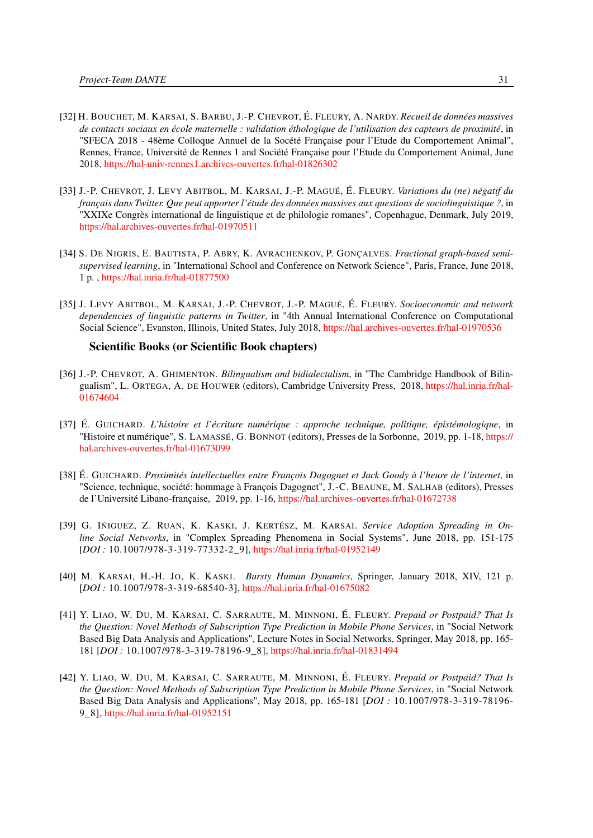- [32] H. BOUCHET, M. KARSAI, S. BARBU, J.-P. CHEVROT, É. FLEURY, A. NARDY. *Recueil de données massives de contacts sociaux en école maternelle : validation éthologique de l'utilisation des capteurs de proximité*, in "SFECA 2018 - 48ème Colloque Annuel de la Socété Française pour l'Etude du Comportement Animal", Rennes, France, Université de Rennes 1 and Société Française pour l'Etude du Comportement Animal, June 2018, <https://hal-univ-rennes1.archives-ouvertes.fr/hal-01826302>
- [33] J.-P. CHEVROT, J. LEVY ABITBOL, M. KARSAI, J.-P. MAGUÉ, É. FLEURY. *Variations du (ne) négatif du français dans Twitter. Que peut apporter l'étude des données massives aux questions de sociolinguistique ?*, in "XXIXe Congrès international de linguistique et de philologie romanes", Copenhague, Denmark, July 2019, <https://hal.archives-ouvertes.fr/hal-01970511>
- [34] S. DE NIGRIS, E. BAUTISTA, P. ABRY, K. AVRACHENKOV, P. GONÇALVES. *Fractional graph-based semisupervised learning*, in "International School and Conference on Network Science", Paris, France, June 2018, 1 p. , <https://hal.inria.fr/hal-01877500>
- [35] J. LEVY ABITBOL, M. KARSAI, J.-P. CHEVROT, J.-P. MAGUÉ, É. FLEURY. *Socioeconomic and network dependencies of linguistic patterns in Twitter*, in "4th Annual International Conference on Computational Social Science", Evanston, Illinois, United States, July 2018, <https://hal.archives-ouvertes.fr/hal-01970536>

#### Scientific Books (or Scientific Book chapters)

- [36] J.-P. CHEVROT, A. GHIMENTON. *Bilingualism and bidialectalism*, in "The Cambridge Handbook of Bilingualism", L. ORTEGA, A. DE HOUWER (editors), Cambridge University Press, 2018, [https://hal.inria.fr/hal-](https://hal.inria.fr/hal-01674604)[01674604](https://hal.inria.fr/hal-01674604)
- [37] É. GUICHARD. *L'histoire et l'écriture numérique : approche technique, politique, épistémologique*, in "Histoire et numérique", S. LAMASSÉ, G. BONNOT (editors), Presses de la Sorbonne, 2019, pp. 1-18, [https://](https://hal.archives-ouvertes.fr/hal-01673099) [hal.archives-ouvertes.fr/hal-01673099](https://hal.archives-ouvertes.fr/hal-01673099)
- [38] É. GUICHARD. *Proximités intellectuelles entre François Dagognet et Jack Goody à l'heure de l'internet*, in "Science, technique, société: hommage à François Dagognet", J.-C. BEAUNE, M. SALHAB (editors), Presses de l'Université Libano-française, 2019, pp. 1-16, <https://hal.archives-ouvertes.fr/hal-01672738>
- <span id="page-36-2"></span>[39] G. IÑIGUEZ, Z. RUAN, K. KASKI, J. KERTÉSZ, M. KARSAI. *Service Adoption Spreading in Online Social Networks*, in "Complex Spreading Phenomena in Social Systems", June 2018, pp. 151-175 [*DOI :* 10.1007/978-3-319-77332-2\_9], <https://hal.inria.fr/hal-01952149>
- <span id="page-36-0"></span>[40] M. KARSAI, H.-H. JO, K. KASKI. *Bursty Human Dynamics*, Springer, January 2018, XIV, 121 p. [*DOI :* 10.1007/978-3-319-68540-3], <https://hal.inria.fr/hal-01675082>
- <span id="page-36-1"></span>[41] Y. LIAO, W. DU, M. KARSAI, C. SARRAUTE, M. MINNONI, É. FLEURY. *Prepaid or Postpaid? That Is the Question: Novel Methods of Subscription Type Prediction in Mobile Phone Services*, in "Social Network Based Big Data Analysis and Applications", Lecture Notes in Social Networks, Springer, May 2018, pp. 165- 181 [*DOI :* 10.1007/978-3-319-78196-9\_8], <https://hal.inria.fr/hal-01831494>
- [42] Y. LIAO, W. DU, M. KARSAI, C. SARRAUTE, M. MINNONI, É. FLEURY. *Prepaid or Postpaid? That Is the Question: Novel Methods of Subscription Type Prediction in Mobile Phone Services*, in "Social Network Based Big Data Analysis and Applications", May 2018, pp. 165-181 [*DOI :* 10.1007/978-3-319-78196- 9\_8], <https://hal.inria.fr/hal-01952151>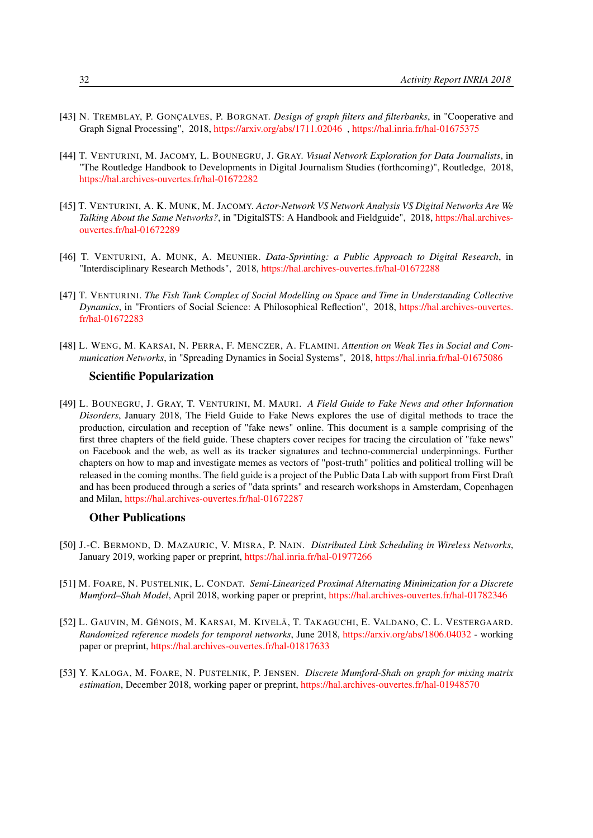- <span id="page-37-0"></span>[43] N. TREMBLAY, P. GONÇALVES, P. BORGNAT. *Design of graph filters and filterbanks*, in "Cooperative and Graph Signal Processing", 2018, [https://arxiv.org/abs/1711.02046](https://arxiv.org/abs/1711.02046 ) , <https://hal.inria.fr/hal-01675375>
- [44] T. VENTURINI, M. JACOMY, L. BOUNEGRU, J. GRAY. *Visual Network Exploration for Data Journalists*, in "The Routledge Handbook to Developments in Digital Journalism Studies (forthcoming)", Routledge, 2018, <https://hal.archives-ouvertes.fr/hal-01672282>
- [45] T. VENTURINI, A. K. MUNK, M. JACOMY. *Actor-Network VS Network Analysis VS Digital Networks Are We Talking About the Same Networks?*, in "DigitalSTS: A Handbook and Fieldguide", 2018, [https://hal.archives](https://hal.archives-ouvertes.fr/hal-01672289)[ouvertes.fr/hal-01672289](https://hal.archives-ouvertes.fr/hal-01672289)
- [46] T. VENTURINI, A. MUNK, A. MEUNIER. *Data-Sprinting: a Public Approach to Digital Research*, in "Interdisciplinary Research Methods", 2018, <https://hal.archives-ouvertes.fr/hal-01672288>
- [47] T. VENTURINI. *The Fish Tank Complex of Social Modelling on Space and Time in Understanding Collective Dynamics*, in "Frontiers of Social Science: A Philosophical Reflection", 2018, [https://hal.archives-ouvertes.](https://hal.archives-ouvertes.fr/hal-01672283) [fr/hal-01672283](https://hal.archives-ouvertes.fr/hal-01672283)
- <span id="page-37-4"></span>[48] L. WENG, M. KARSAI, N. PERRA, F. MENCZER, A. FLAMINI. *Attention on Weak Ties in Social and Communication Networks*, in "Spreading Dynamics in Social Systems", 2018, <https://hal.inria.fr/hal-01675086>

#### Scientific Popularization

[49] L. BOUNEGRU, J. GRAY, T. VENTURINI, M. MAURI. *A Field Guide to Fake News and other Information Disorders*, January 2018, The Field Guide to Fake News explores the use of digital methods to trace the production, circulation and reception of "fake news" online. This document is a sample comprising of the first three chapters of the field guide. These chapters cover recipes for tracing the circulation of "fake news" on Facebook and the web, as well as its tracker signatures and techno-commercial underpinnings. Further chapters on how to map and investigate memes as vectors of "post-truth" politics and political trolling will be released in the coming months. The field guide is a project of the Public Data Lab with support from First Draft and has been produced through a series of "data sprints" and research workshops in Amsterdam, Copenhagen and Milan, <https://hal.archives-ouvertes.fr/hal-01672287>

#### Other Publications

- [50] J.-C. BERMOND, D. MAZAURIC, V. MISRA, P. NAIN. *Distributed Link Scheduling in Wireless Networks*, January 2019, working paper or preprint, <https://hal.inria.fr/hal-01977266>
- <span id="page-37-1"></span>[51] M. FOARE, N. PUSTELNIK, L. CONDAT. *Semi-Linearized Proximal Alternating Minimization for a Discrete Mumford–Shah Model*, April 2018, working paper or preprint, <https://hal.archives-ouvertes.fr/hal-01782346>
- <span id="page-37-3"></span>[52] L. GAUVIN, M. GÉNOIS, M. KARSAI, M. KIVELÄ, T. TAKAGUCHI, E. VALDANO, C. L. VESTERGAARD. *Randomized reference models for temporal networks*, June 2018, <https://arxiv.org/abs/1806.04032> - working paper or preprint, <https://hal.archives-ouvertes.fr/hal-01817633>
- <span id="page-37-2"></span>[53] Y. KALOGA, M. FOARE, N. PUSTELNIK, P. JENSEN. *Discrete Mumford-Shah on graph for mixing matrix estimation*, December 2018, working paper or preprint, <https://hal.archives-ouvertes.fr/hal-01948570>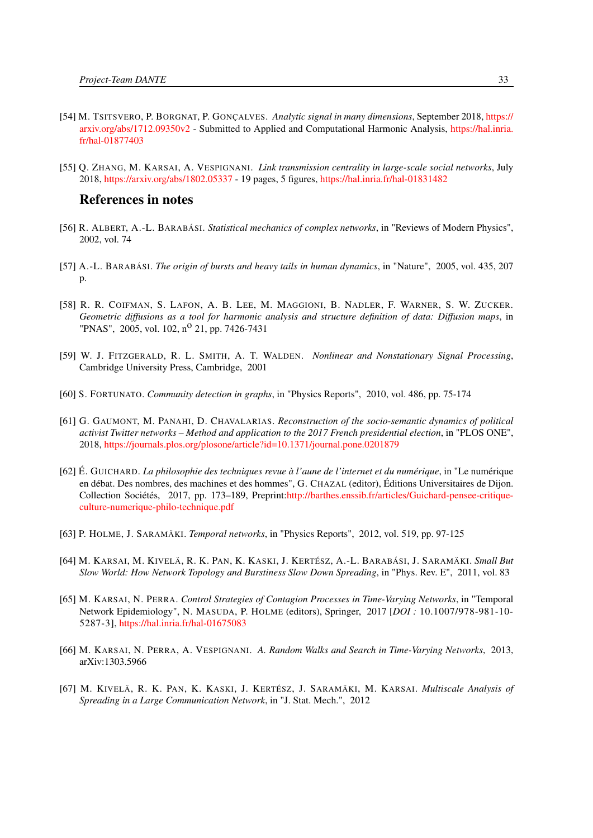- <span id="page-38-12"></span>[54] M. TSITSVERO, P. BORGNAT, P. GONÇALVES. *Analytic signal in many dimensions*, September 2018, [https://](https://arxiv.org/abs/1712.09350v2) [arxiv.org/abs/1712.09350v2](https://arxiv.org/abs/1712.09350v2) - Submitted to Applied and Computational Harmonic Analysis, [https://hal.inria.](https://hal.inria.fr/hal-01877403) [fr/hal-01877403](https://hal.inria.fr/hal-01877403)
- [55] Q. ZHANG, M. KARSAI, A. VESPIGNANI. *Link transmission centrality in large-scale social networks*, July 2018, <https://arxiv.org/abs/1802.05337> - 19 pages, 5 figures, <https://hal.inria.fr/hal-01831482>

#### References in notes

- <span id="page-38-3"></span>[56] R. ALBERT, A.-L. BARABÁSI. *Statistical mechanics of complex networks*, in "Reviews of Modern Physics", 2002, vol. 74
- <span id="page-38-4"></span>[57] A.-L. BARABÁSI. *The origin of bursts and heavy tails in human dynamics*, in "Nature", 2005, vol. 435, 207 p.
- <span id="page-38-0"></span>[58] R. R. COIFMAN, S. LAFON, A. B. LEE, M. MAGGIONI, B. NADLER, F. WARNER, S. W. ZUCKER. *Geometric diffusions as a tool for harmonic analysis and structure definition of data: Diffusion maps*, in "PNAS", 2005, vol. 102, n<sup>o</sup> 21, pp. 7426-7431
- <span id="page-38-1"></span>[59] W. J. FITZGERALD, R. L. SMITH, A. T. WALDEN. *Nonlinear and Nonstationary Signal Processing*, Cambridge University Press, Cambridge, 2001
- <span id="page-38-5"></span>[60] S. FORTUNATO. *Community detection in graphs*, in "Physics Reports", 2010, vol. 486, pp. 75-174
- <span id="page-38-9"></span>[61] G. GAUMONT, M. PANAHI, D. CHAVALARIAS. *Reconstruction of the socio-semantic dynamics of political activist Twitter networks – Method and application to the 2017 French presidential election*, in "PLOS ONE", 2018, <https://journals.plos.org/plosone/article?id=10.1371/journal.pone.0201879>
- <span id="page-38-10"></span>[62] É. GUICHARD. *La philosophie des techniques revue à l'aune de l'internet et du numérique*, in "Le numérique en débat. Des nombres, des machines et des hommes", G. CHAZAL (editor), Éditions Universitaires de Dijon. Collection Sociétés, 2017, pp. 173–189, Preprint[:http://barthes.enssib.fr/articles/Guichard-pensee-critique](http://barthes.enssib.fr/articles/Guichard-pensee-critique-culture-numerique-philo-technique.pdf)[culture-numerique-philo-technique.pdf](http://barthes.enssib.fr/articles/Guichard-pensee-critique-culture-numerique-philo-technique.pdf)
- <span id="page-38-2"></span>[63] P. HOLME, J. SARAMÄKI. *Temporal networks*, in "Physics Reports", 2012, vol. 519, pp. 97-125
- <span id="page-38-6"></span>[64] M. KARSAI, M. KIVELÄ, R. K. PAN, K. KASKI, J. KERTÉSZ, A.-L. BARABÁSI, J. SARAMÄKI. *Small But Slow World: How Network Topology and Burstiness Slow Down Spreading*, in "Phys. Rev. E", 2011, vol. 83
- <span id="page-38-11"></span>[65] M. KARSAI, N. PERRA. *Control Strategies of Contagion Processes in Time-Varying Networks*, in "Temporal Network Epidemiology", N. MASUDA, P. HOLME (editors), Springer, 2017 [*DOI :* 10.1007/978-981-10- 5287-3], <https://hal.inria.fr/hal-01675083>
- <span id="page-38-8"></span>[66] M. KARSAI, N. PERRA, A. VESPIGNANI. *A. Random Walks and Search in Time-Varying Networks*, 2013, arXiv:1303.5966
- <span id="page-38-7"></span>[67] M. KIVELÄ, R. K. PAN, K. KASKI, J. KERTÉSZ, J. SARAMÄKI, M. KARSAI. *Multiscale Analysis of Spreading in a Large Communication Network*, in "J. Stat. Mech.", 2012